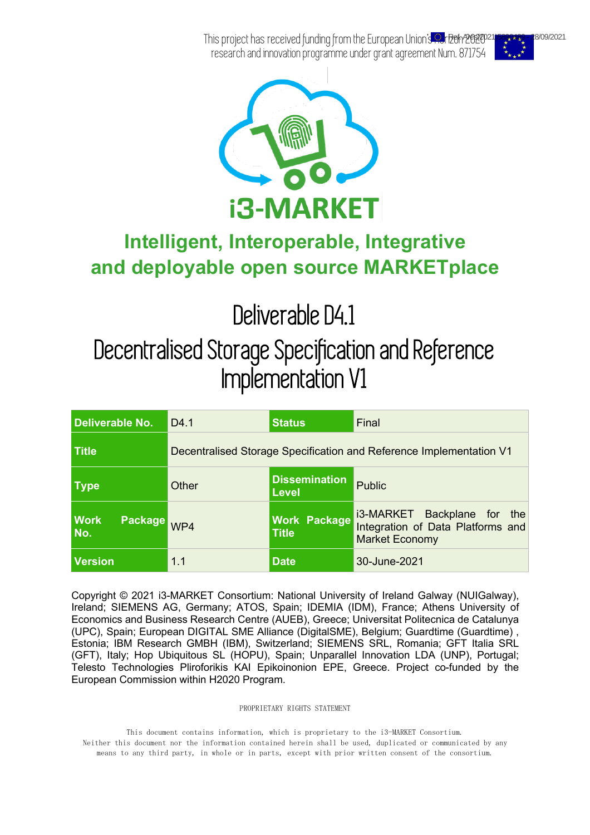This project has received funding from the European Union's Au<mark>rBefr/202020115899489</mark> - 28/09/2021 research and innovation programme under grant agreement Num. 871754





### **Intelligent, Interoperable, Integrative and deployable open source MARKETplace**

Deliverable D4.1

## Decentralised Storage Specification and Reference Implementation V1

| Deliverable No.                      | D <sub>4.1</sub> | <b>Status</b>                                                       | Final                                                                                        |  |  |
|--------------------------------------|------------------|---------------------------------------------------------------------|----------------------------------------------------------------------------------------------|--|--|
| <b>Title</b>                         |                  | Decentralised Storage Specification and Reference Implementation V1 |                                                                                              |  |  |
| <b>Type</b>                          | Other            | <b>Dissemination</b><br>Level                                       | <b>Public</b>                                                                                |  |  |
| <b>Work</b><br><b>Package</b><br>No. | WP4              | <b>Work Package</b><br><b>Title</b>                                 | i3-MARKET Backplane for<br>the<br>Integration of Data Platforms and<br><b>Market Economy</b> |  |  |
| <b>Version</b>                       | 1.1              | <b>Date</b>                                                         | 30-June-2021                                                                                 |  |  |

Copyright © 2021 i3-MARKET Consortium: National University of Ireland Galway (NUIGalway), Ireland; SIEMENS AG, Germany; ATOS, Spain; IDEMIA (IDM), France; Athens University of Economics and Business Research Centre (AUEB), Greece; Universitat Politecnica de Catalunya (UPC), Spain; European DIGITAL SME Alliance (DigitalSME), Belgium; Guardtime (Guardtime) , Estonia; IBM Research GMBH (IBM), Switzerland; SIEMENS SRL, Romania; GFT Italia SRL (GFT), Italy; Hop Ubiquitous SL (HOPU), Spain; Unparallel Innovation LDA (UNP), Portugal; Telesto Technologies Pliroforikis KAI Epikoinonion EPE, Greece. Project co-funded by the European Commission within H2020 Program.

PROPRIETARY RIGHTS STATEMENT

This document contains information, which is proprietary to the i3-MARKET Consortium. Neither this document nor the information contained herein shall be used, duplicated or communicated by any means to any third party, in whole or in parts, except with prior written consent of the consortium.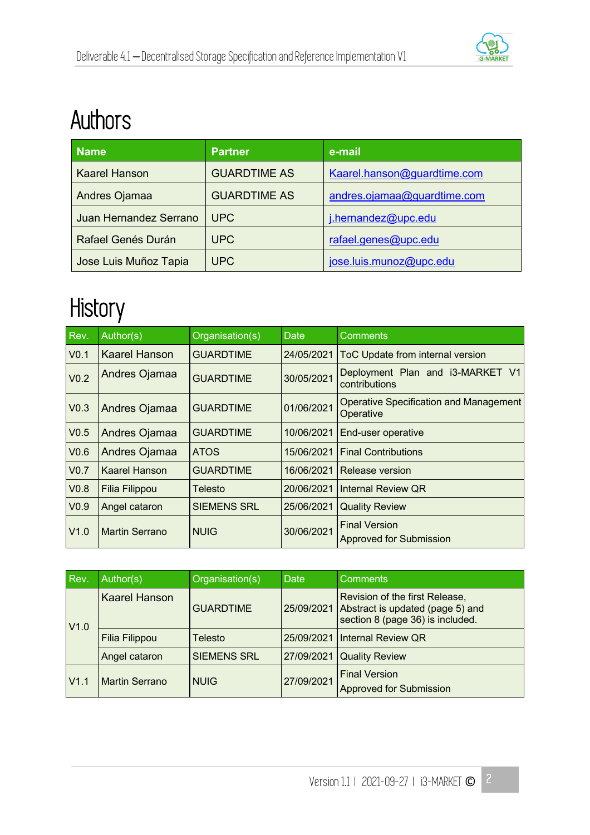

## Authors

| <b>Name</b>            | <b>Partner</b>                                     | e-mail                      |
|------------------------|----------------------------------------------------|-----------------------------|
| <b>Kaarel Hanson</b>   | <b>GUARDTIME AS</b>                                | Kaarel.hanson@guardtime.com |
| Andres Ojamaa          | <b>GUARDTIME AS</b><br>andres.ojamaa@guardtime.com |                             |
| Juan Hernandez Serrano | <b>UPC</b>                                         | j.hernandez@upc.edu         |
| Rafael Genés Durán     | <b>UPC</b>                                         | rafael.genes@upc.edu        |
| Jose Luis Muñoz Tapia  | <b>UPC</b>                                         | jose.luis.munoz@upc.edu     |

## **History**

| Rev.             | Author(s)            | Organisation(s)    | Date       | <b>Comments</b>                                            |  |
|------------------|----------------------|--------------------|------------|------------------------------------------------------------|--|
| V <sub>0.1</sub> | <b>Kaarel Hanson</b> | <b>GUARDTIME</b>   | 24/05/2021 | ToC Update from internal version                           |  |
| V <sub>0.2</sub> | Andres Ojamaa        | <b>GUARDTIME</b>   | 30/05/2021 | Deployment Plan and i3-MARKET V1<br>contributions          |  |
| V <sub>0.3</sub> | Andres Ojamaa        | <b>GUARDTIME</b>   | 01/06/2021 | <b>Operative Specification and Management</b><br>Operative |  |
| V <sub>0.5</sub> | <b>Andres Ojamaa</b> | <b>GUARDTIME</b>   | 10/06/2021 | End-user operative                                         |  |
| V <sub>0.6</sub> | Andres Ojamaa        | <b>ATOS</b>        | 15/06/2021 | <b>Final Contributions</b>                                 |  |
| V <sub>0.7</sub> | <b>Kaarel Hanson</b> | <b>GUARDTIME</b>   | 16/06/2021 | Release version                                            |  |
| V <sub>0.8</sub> | Filia Filippou       | Telesto            | 20/06/2021 | <b>Internal Review QR</b>                                  |  |
| V <sub>0.9</sub> | Angel cataron        | <b>SIEMENS SRL</b> | 25/06/2021 | <b>Quality Review</b>                                      |  |
| V1.0             | Martin Serrano       | <b>NUIG</b>        | 30/06/2021 | <b>Final Version</b><br><b>Approved for Submission</b>     |  |

| Rev. | Author(s)             | Organisation(s)                | <b>Date</b> | <b>Comments</b>                                                                                        |  |
|------|-----------------------|--------------------------------|-------------|--------------------------------------------------------------------------------------------------------|--|
| V1.0 | <b>Kaarel Hanson</b>  | 25/09/2021<br><b>GUARDTIME</b> |             | Revision of the first Release,<br>Abstract is updated (page 5) and<br>section 8 (page 36) is included. |  |
|      | Filia Filippou        | Telesto                        |             | 25/09/2021   Internal Review QR                                                                        |  |
|      | Angel cataron         | <b>SIEMENS SRL</b>             | 27/09/2021  | <b>Quality Review</b>                                                                                  |  |
| V1.1 | <b>Martin Serrano</b> | <b>NUIG</b>                    | 27/09/2021  | <b>Final Version</b><br><b>Approved for Submission</b>                                                 |  |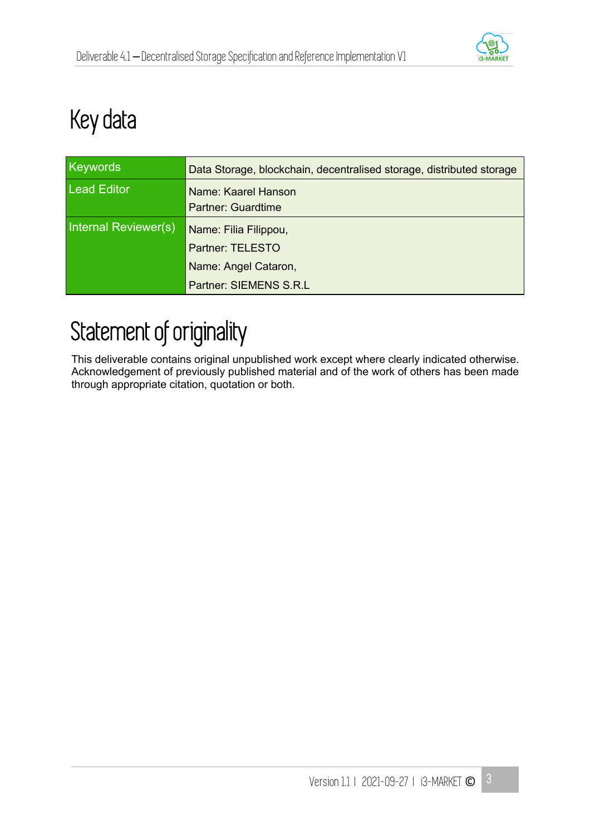

## Key data

| <b>Keywords</b>      | Data Storage, blockchain, decentralised storage, distributed storage |
|----------------------|----------------------------------------------------------------------|
| <b>Lead Editor</b>   | Name: Kaarel Hanson<br><b>Partner: Guardtime</b>                     |
| Internal Reviewer(s) | Name: Filia Filippou,                                                |
|                      | <b>Partner: TELESTO</b>                                              |
|                      | Name: Angel Cataron,                                                 |
|                      | Partner: SIEMENS S.R.L                                               |

## Statement of originality

This deliverable contains original unpublished work except where clearly indicated otherwise. Acknowledgement of previously published material and of the work of others has been made through appropriate citation, quotation or both.

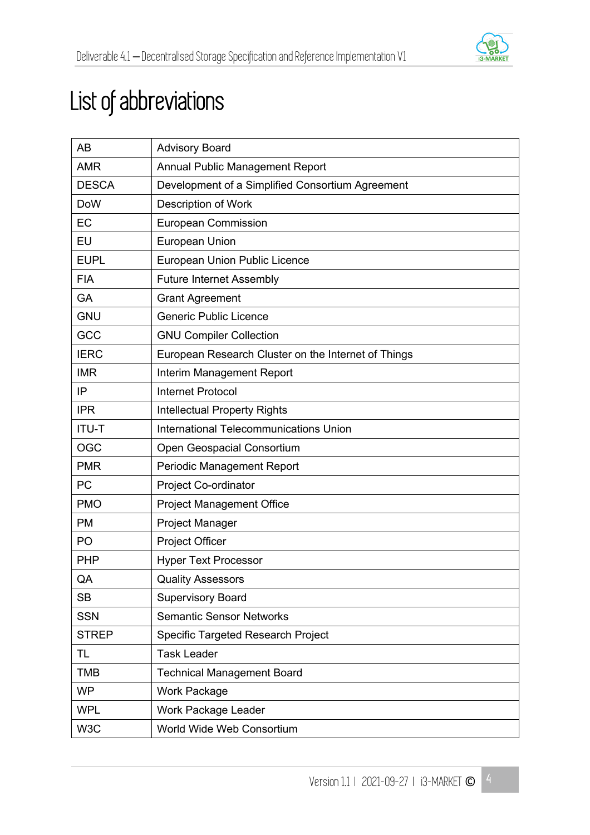

## List of abbreviations

| AB           | <b>Advisory Board</b>                               |
|--------------|-----------------------------------------------------|
| <b>AMR</b>   | <b>Annual Public Management Report</b>              |
| <b>DESCA</b> | Development of a Simplified Consortium Agreement    |
| <b>DoW</b>   | <b>Description of Work</b>                          |
| EC           | <b>European Commission</b>                          |
| EU           | European Union                                      |
| <b>EUPL</b>  | European Union Public Licence                       |
| <b>FIA</b>   | <b>Future Internet Assembly</b>                     |
| <b>GA</b>    | <b>Grant Agreement</b>                              |
| <b>GNU</b>   | <b>Generic Public Licence</b>                       |
| GCC          | <b>GNU Compiler Collection</b>                      |
| <b>IERC</b>  | European Research Cluster on the Internet of Things |
| <b>IMR</b>   | Interim Management Report                           |
| IP           | <b>Internet Protocol</b>                            |
| <b>IPR</b>   | <b>Intellectual Property Rights</b>                 |
| <b>ITU-T</b> | International Telecommunications Union              |
| <b>OGC</b>   | Open Geospacial Consortium                          |
| <b>PMR</b>   | Periodic Management Report                          |
| PC           | Project Co-ordinator                                |
| <b>PMO</b>   | <b>Project Management Office</b>                    |
| <b>PM</b>    | <b>Project Manager</b>                              |
| PO           | Project Officer                                     |
| <b>PHP</b>   | <b>Hyper Text Processor</b>                         |
| QA           | <b>Quality Assessors</b>                            |
| <b>SB</b>    | <b>Supervisory Board</b>                            |
| <b>SSN</b>   | <b>Semantic Sensor Networks</b>                     |
| <b>STREP</b> | Specific Targeted Research Project                  |
| TL           | <b>Task Leader</b>                                  |
| <b>TMB</b>   | <b>Technical Management Board</b>                   |
| <b>WP</b>    | Work Package                                        |
| <b>WPL</b>   | Work Package Leader                                 |
| W3C          | World Wide Web Consortium                           |

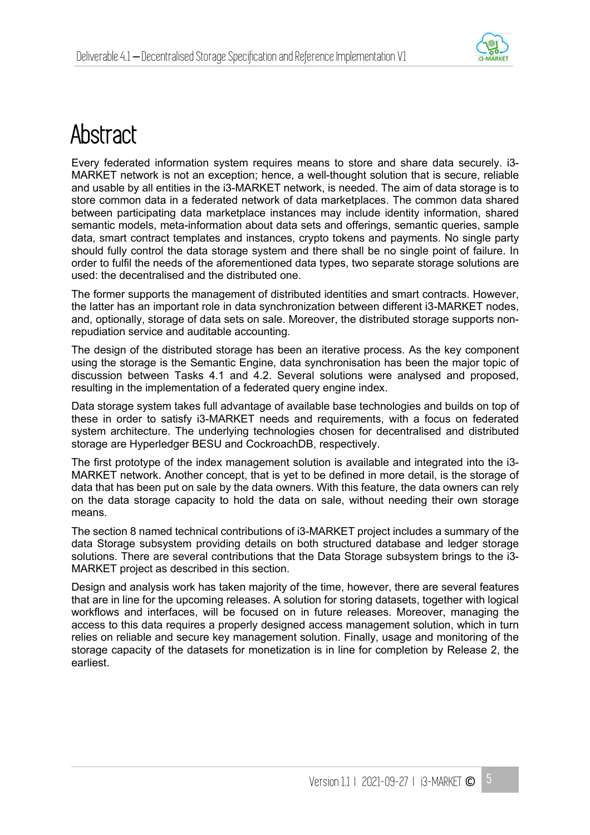

## **Abstract**

Every federated information system requires means to store and share data securely. i3- MARKET network is not an exception; hence, a well-thought solution that is secure, reliable and usable by all entities in the i3-MARKET network, is needed. The aim of data storage is to store common data in a federated network of data marketplaces. The common data shared between participating data marketplace instances may include identity information, shared semantic models, meta-information about data sets and offerings, semantic queries, sample data, smart contract templates and instances, crypto tokens and payments. No single party should fully control the data storage system and there shall be no single point of failure. In order to fulfil the needs of the aforementioned data types, two separate storage solutions are used: the decentralised and the distributed one.

The former supports the management of distributed identities and smart contracts. However, the latter has an important role in data synchronization between different i3-MARKET nodes, and, optionally, storage of data sets on sale. Moreover, the distributed storage supports nonrepudiation service and auditable accounting.

The design of the distributed storage has been an iterative process. As the key component using the storage is the Semantic Engine, data synchronisation has been the major topic of discussion between Tasks 4.1 and 4.2. Several solutions were analysed and proposed, resulting in the implementation of a federated query engine index.

Data storage system takes full advantage of available base technologies and builds on top of these in order to satisfy i3-MARKET needs and requirements, with a focus on federated system architecture. The underlying technologies chosen for decentralised and distributed storage are Hyperledger BESU and CockroachDB, respectively.

The first prototype of the index management solution is available and integrated into the i3- MARKET network. Another concept, that is yet to be defined in more detail, is the storage of data that has been put on sale by the data owners. With this feature, the data owners can rely on the data storage capacity to hold the data on sale, without needing their own storage means.

The section 8 named technical contributions of i3-MARKET project includes a summary of the data Storage subsystem providing details on both structured database and ledger storage solutions. There are several contributions that the Data Storage subsystem brings to the i3- MARKET project as described in this section.

Design and analysis work has taken majority of the time, however, there are several features that are in line for the upcoming releases. A solution for storing datasets, together with logical workflows and interfaces, will be focused on in future releases. Moreover, managing the access to this data requires a properly designed access management solution, which in turn relies on reliable and secure key management solution. Finally, usage and monitoring of the storage capacity of the datasets for monetization is in line for completion by Release 2, the earliest.

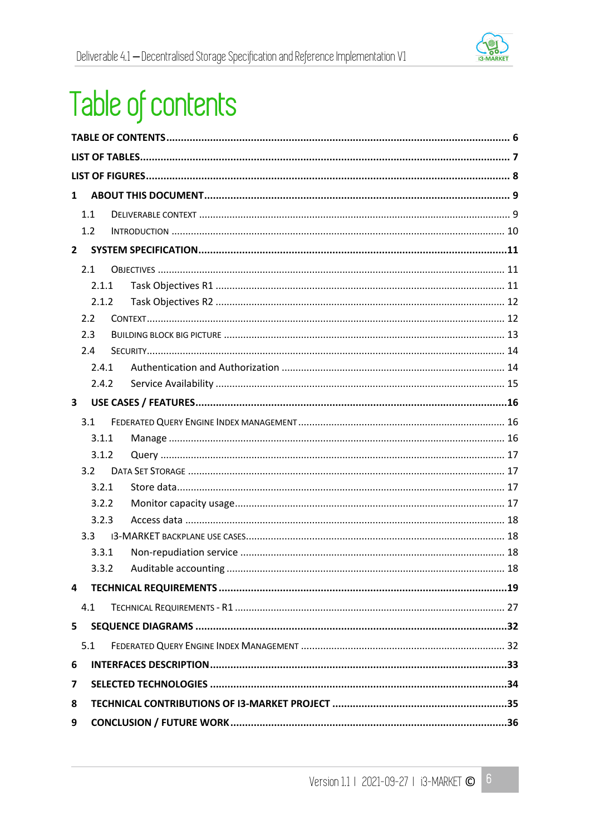

# Table of contents

| $\mathbf{1}$   |       |  |  |  |
|----------------|-------|--|--|--|
|                | 1.1   |  |  |  |
|                | 1.2   |  |  |  |
| $\overline{2}$ |       |  |  |  |
|                | 2.1   |  |  |  |
|                | 2.1.1 |  |  |  |
|                | 2.1.2 |  |  |  |
|                | 2.2   |  |  |  |
|                | 2.3   |  |  |  |
|                | 2.4   |  |  |  |
|                | 2.4.1 |  |  |  |
|                | 2.4.2 |  |  |  |
| 3              |       |  |  |  |
|                | 3.1   |  |  |  |
|                | 3.1.1 |  |  |  |
|                | 3.1.2 |  |  |  |
|                | 3.2   |  |  |  |
|                | 3.2.1 |  |  |  |
|                | 3.2.2 |  |  |  |
|                | 3.2.3 |  |  |  |
|                | 3.3   |  |  |  |
|                | 3.3.1 |  |  |  |
|                | 3.3.2 |  |  |  |
| 4              |       |  |  |  |
|                | 4.1   |  |  |  |
| 5              |       |  |  |  |
|                | 5.1   |  |  |  |
| 6              |       |  |  |  |
| 7              |       |  |  |  |
| 8              |       |  |  |  |
| 9              |       |  |  |  |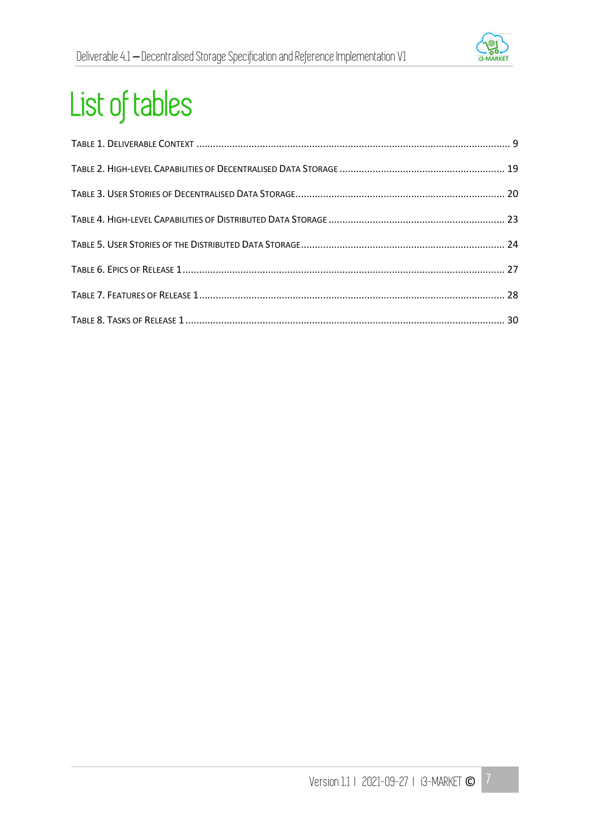

# List of tables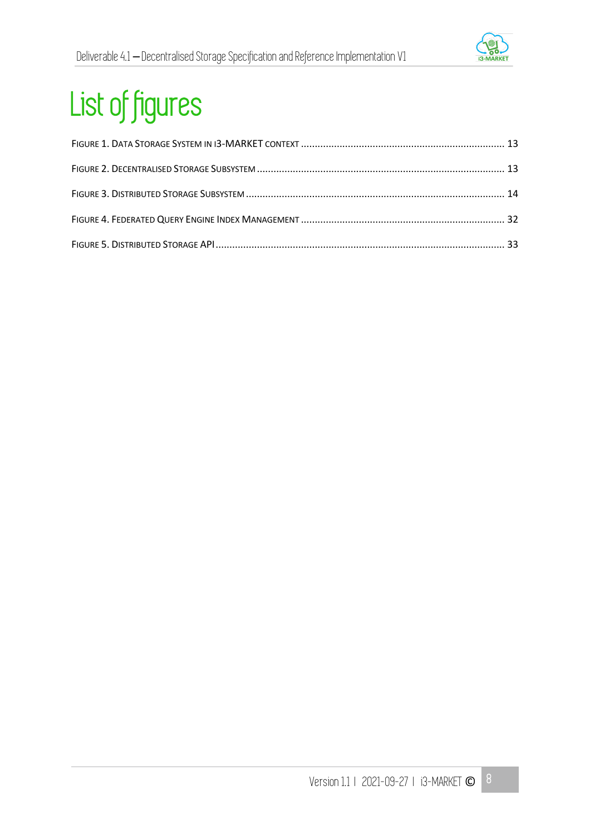

# List of figures

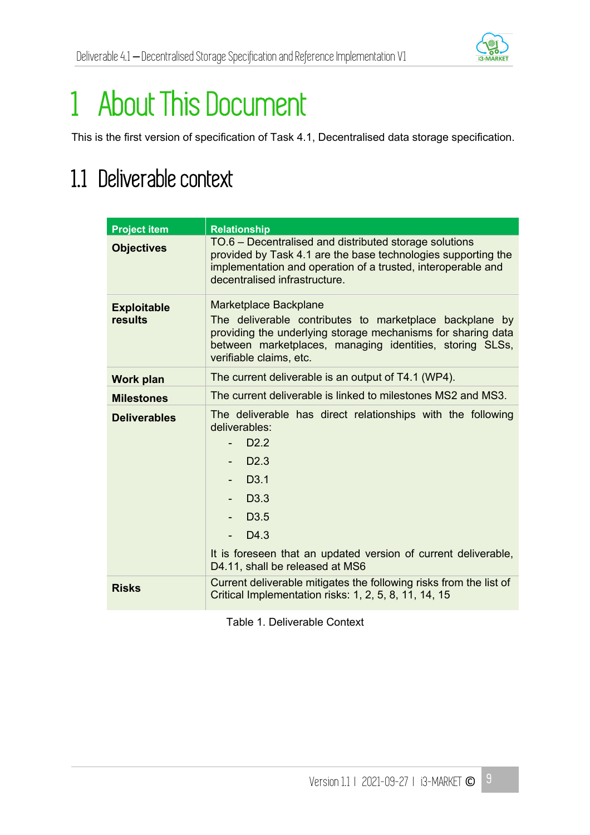

# 1 About This Document

This is the first version of specification of Task 4.1, Decentralised data storage specification.

## 1.1 Deliverable context

| <b>Project item</b>           | <b>Relationship</b>                                                                                                                                                                                                                                                                             |  |  |
|-------------------------------|-------------------------------------------------------------------------------------------------------------------------------------------------------------------------------------------------------------------------------------------------------------------------------------------------|--|--|
| <b>Objectives</b>             | TO.6 - Decentralised and distributed storage solutions<br>provided by Task 4.1 are the base technologies supporting the<br>implementation and operation of a trusted, interoperable and<br>decentralised infrastructure.                                                                        |  |  |
| <b>Exploitable</b><br>results | Marketplace Backplane<br>The deliverable contributes to marketplace backplane by<br>providing the underlying storage mechanisms for sharing data<br>between marketplaces, managing identities, storing SLSs,<br>verifiable claims, etc.                                                         |  |  |
| <b>Work plan</b>              | The current deliverable is an output of T4.1 (WP4).                                                                                                                                                                                                                                             |  |  |
| <b>Milestones</b>             | The current deliverable is linked to milestones MS2 and MS3.                                                                                                                                                                                                                                    |  |  |
| <b>Deliverables</b>           | The deliverable has direct relationships with the following<br>deliverables:<br>D <sub>2.2</sub><br>D2.3<br>D <sub>3.1</sub><br>$-$ D3.3<br>D <sub>3.5</sub><br>D <sub>4.3</sub><br>$\sim$<br>It is foreseen that an updated version of current deliverable,<br>D4.11, shall be released at MS6 |  |  |
| <b>Risks</b>                  | Current deliverable mitigates the following risks from the list of<br>Critical Implementation risks: 1, 2, 5, 8, 11, 14, 15                                                                                                                                                                     |  |  |

Table 1. Deliverable Context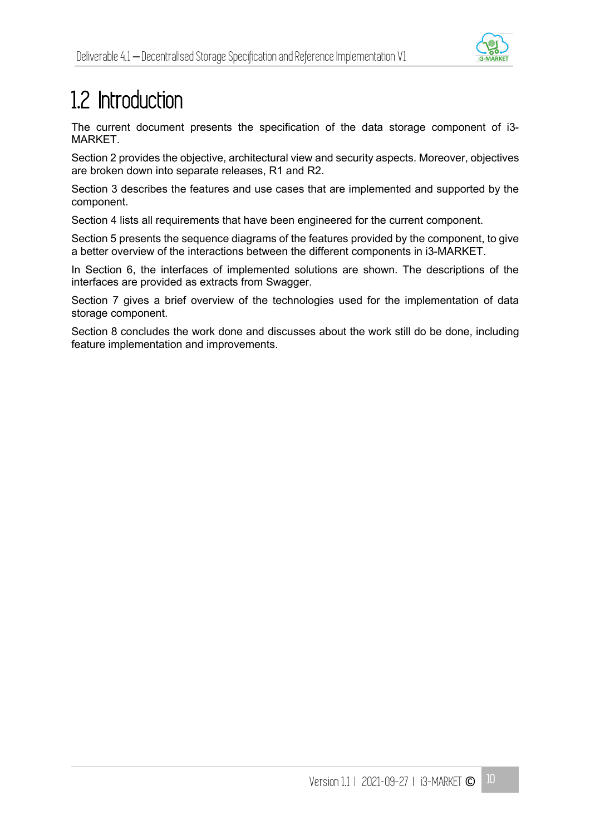

## 1.2 Introduction

The current document presents the specification of the data storage component of i3- **MARKFT** 

Section 2 provides the objective, architectural view and security aspects. Moreover, objectives are broken down into separate releases, R1 and R2.

Section 3 describes the features and use cases that are implemented and supported by the component.

Section 4 lists all requirements that have been engineered for the current component.

Section 5 presents the sequence diagrams of the features provided by the component, to give a better overview of the interactions between the different components in i3-MARKET.

In Section 6, the interfaces of implemented solutions are shown. The descriptions of the interfaces are provided as extracts from Swagger.

Section 7 gives a brief overview of the technologies used for the implementation of data storage component.

Section 8 concludes the work done and discusses about the work still do be done, including feature implementation and improvements.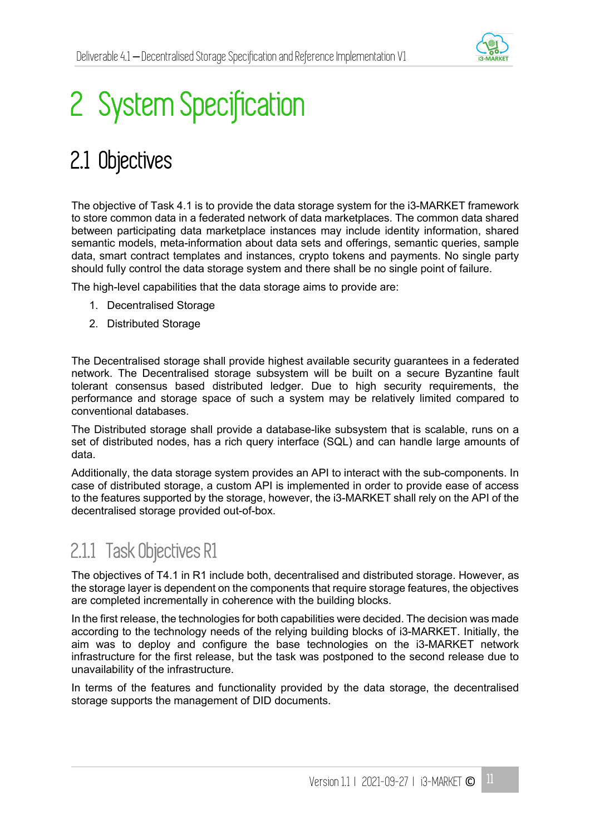

## 2 System Specification

## 2.1 Objectives

The objective of Task 4.1 is to provide the data storage system for the i3-MARKET framework to store common data in a federated network of data marketplaces. The common data shared between participating data marketplace instances may include identity information, shared semantic models, meta-information about data sets and offerings, semantic queries, sample data, smart contract templates and instances, crypto tokens and payments. No single party should fully control the data storage system and there shall be no single point of failure.

The high-level capabilities that the data storage aims to provide are:

- 1. Decentralised Storage
- 2. Distributed Storage

The Decentralised storage shall provide highest available security guarantees in a federated network. The Decentralised storage subsystem will be built on a secure Byzantine fault tolerant consensus based distributed ledger. Due to high security requirements, the performance and storage space of such a system may be relatively limited compared to conventional databases.

The Distributed storage shall provide a database-like subsystem that is scalable, runs on a set of distributed nodes, has a rich query interface (SQL) and can handle large amounts of data.

Additionally, the data storage system provides an API to interact with the sub-components. In case of distributed storage, a custom API is implemented in order to provide ease of access to the features supported by the storage, however, the i3-MARKET shall rely on the API of the decentralised storage provided out-of-box.

### 2.1.1 Task Objectives R1

The objectives of T4.1 in R1 include both, decentralised and distributed storage. However, as the storage layer is dependent on the components that require storage features, the objectives are completed incrementally in coherence with the building blocks.

In the first release, the technologies for both capabilities were decided. The decision was made according to the technology needs of the relying building blocks of i3-MARKET. Initially, the aim was to deploy and configure the base technologies on the i3-MARKET network infrastructure for the first release, but the task was postponed to the second release due to unavailability of the infrastructure.

In terms of the features and functionality provided by the data storage, the decentralised storage supports the management of DID documents.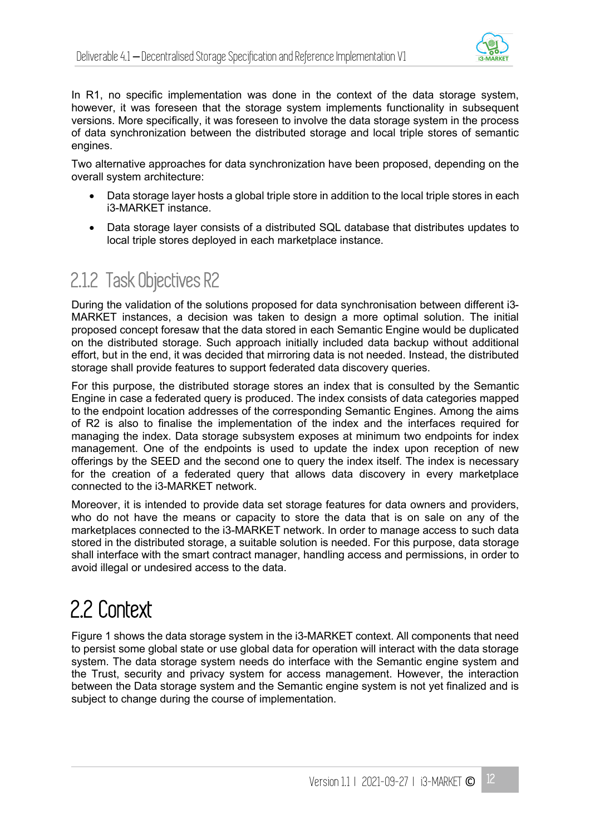

In R1, no specific implementation was done in the context of the data storage system, however, it was foreseen that the storage system implements functionality in subsequent versions. More specifically, it was foreseen to involve the data storage system in the process of data synchronization between the distributed storage and local triple stores of semantic engines.

Two alternative approaches for data synchronization have been proposed, depending on the overall system architecture:

- Data storage layer hosts a global triple store in addition to the local triple stores in each i3-MARKET instance.
- Data storage layer consists of a distributed SQL database that distributes updates to local triple stores deployed in each marketplace instance.

#### 2.1.2 Task Objectives R2

During the validation of the solutions proposed for data synchronisation between different i3- MARKET instances, a decision was taken to design a more optimal solution. The initial proposed concept foresaw that the data stored in each Semantic Engine would be duplicated on the distributed storage. Such approach initially included data backup without additional effort, but in the end, it was decided that mirroring data is not needed. Instead, the distributed storage shall provide features to support federated data discovery queries.

For this purpose, the distributed storage stores an index that is consulted by the Semantic Engine in case a federated query is produced. The index consists of data categories mapped to the endpoint location addresses of the corresponding Semantic Engines. Among the aims of R2 is also to finalise the implementation of the index and the interfaces required for managing the index. Data storage subsystem exposes at minimum two endpoints for index management. One of the endpoints is used to update the index upon reception of new offerings by the SEED and the second one to query the index itself. The index is necessary for the creation of a federated query that allows data discovery in every marketplace connected to the i3-MARKET network.

Moreover, it is intended to provide data set storage features for data owners and providers, who do not have the means or capacity to store the data that is on sale on any of the marketplaces connected to the i3-MARKET network. In order to manage access to such data stored in the distributed storage, a suitable solution is needed. For this purpose, data storage shall interface with the smart contract manager, handling access and permissions, in order to avoid illegal or undesired access to the data.

### 2.2 Context

Figure 1 shows the data storage system in the i3-MARKET context. All components that need to persist some global state or use global data for operation will interact with the data storage system. The data storage system needs do interface with the Semantic engine system and the Trust, security and privacy system for access management. However, the interaction between the Data storage system and the Semantic engine system is not yet finalized and is subject to change during the course of implementation.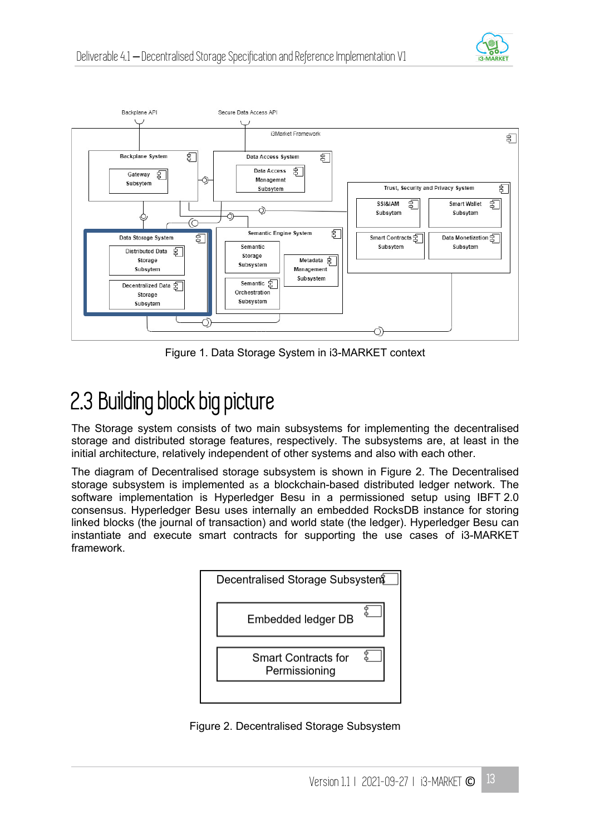



Figure 1. Data Storage System in i3-MARKET context

## 2.3 Building block big picture

The Storage system consists of two main subsystems for implementing the decentralised storage and distributed storage features, respectively. The subsystems are, at least in the initial architecture, relatively independent of other systems and also with each other.

The diagram of Decentralised storage subsystem is shown in Figure 2. The Decentralised storage subsystem is implemented as a blockchain-based distributed ledger network. The software implementation is Hyperledger Besu in a permissioned setup using IBFT 2.0 consensus. Hyperledger Besu uses internally an embedded RocksDB instance for storing linked blocks (the journal of transaction) and world state (the ledger). Hyperledger Besu can instantiate and execute smart contracts for supporting the use cases of i3-MARKET framework.



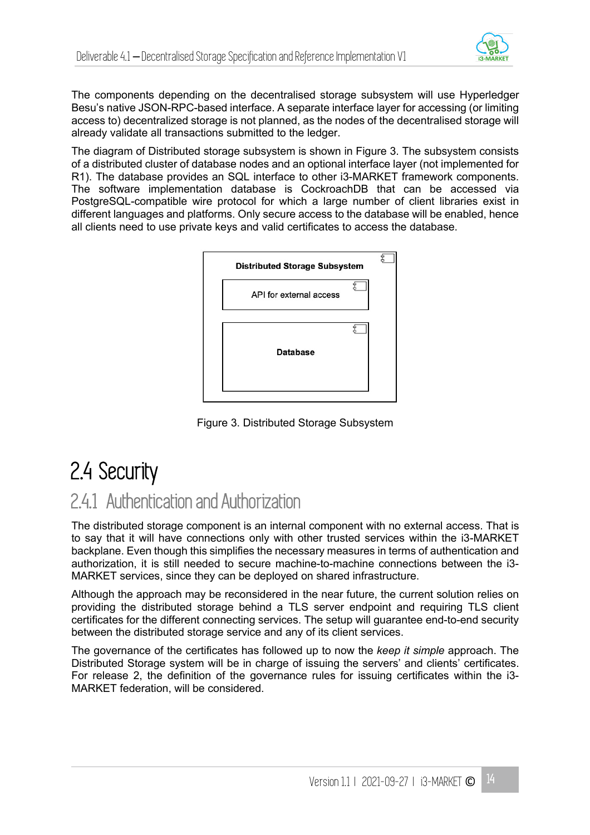

The components depending on the decentralised storage subsystem will use Hyperledger Besu's native JSON-RPC-based interface. A separate interface layer for accessing (or limiting access to) decentralized storage is not planned, as the nodes of the decentralised storage will already validate all transactions submitted to the ledger.

The diagram of Distributed storage subsystem is shown in Figure 3. The subsystem consists of a distributed cluster of database nodes and an optional interface layer (not implemented for R1). The database provides an SQL interface to other i3-MARKET framework components. The software implementation database is CockroachDB that can be accessed via PostgreSQL-compatible wire protocol for which a large number of client libraries exist in different languages and platforms. Only secure access to the database will be enabled, hence all clients need to use private keys and valid certificates to access the database.



Figure 3. Distributed Storage Subsystem

### 2.4 Security

### 2.4.1 Authentication and Authorization

The distributed storage component is an internal component with no external access. That is to say that it will have connections only with other trusted services within the i3-MARKET backplane. Even though this simplifies the necessary measures in terms of authentication and authorization, it is still needed to secure machine-to-machine connections between the i3- MARKET services, since they can be deployed on shared infrastructure.

Although the approach may be reconsidered in the near future, the current solution relies on providing the distributed storage behind a TLS server endpoint and requiring TLS client certificates for the different connecting services. The setup will guarantee end-to-end security between the distributed storage service and any of its client services.

The governance of the certificates has followed up to now the *keep it simple* approach. The Distributed Storage system will be in charge of issuing the servers' and clients' certificates. For release 2, the definition of the governance rules for issuing certificates within the i3- MARKET federation, will be considered.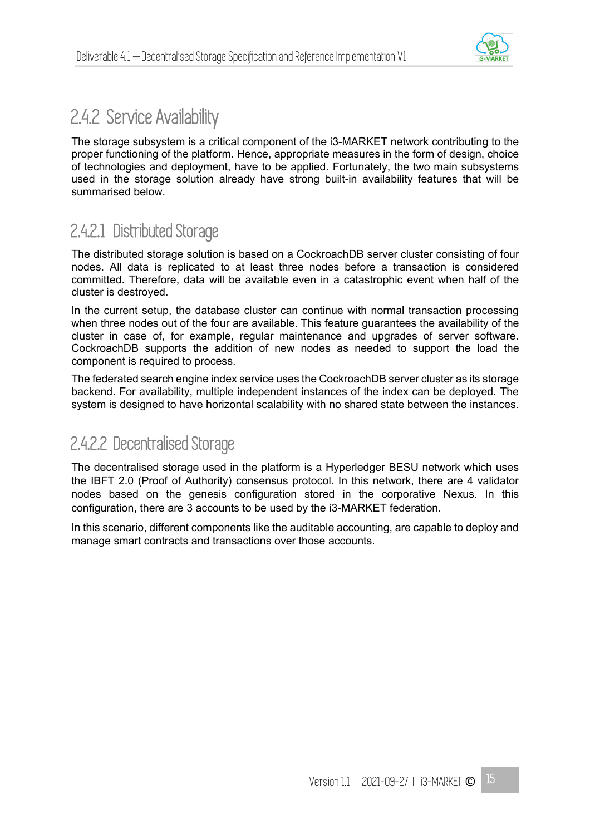

#### 2.4.2 Service Availability

The storage subsystem is a critical component of the i3-MARKET network contributing to the proper functioning of the platform. Hence, appropriate measures in the form of design, choice of technologies and deployment, have to be applied. Fortunately, the two main subsystems used in the storage solution already have strong built-in availability features that will be summarised below.

#### 2.4.2.1 Distributed Storage

The distributed storage solution is based on a CockroachDB server cluster consisting of four nodes. All data is replicated to at least three nodes before a transaction is considered committed. Therefore, data will be available even in a catastrophic event when half of the cluster is destroyed.

In the current setup, the database cluster can continue with normal transaction processing when three nodes out of the four are available. This feature guarantees the availability of the cluster in case of, for example, regular maintenance and upgrades of server software. CockroachDB supports the addition of new nodes as needed to support the load the component is required to process.

The federated search engine index service uses the CockroachDB server cluster as its storage backend. For availability, multiple independent instances of the index can be deployed. The system is designed to have horizontal scalability with no shared state between the instances.

#### 2.4.2.2 Decentralised Storage

The decentralised storage used in the platform is a Hyperledger BESU network which uses the IBFT 2.0 (Proof of Authority) consensus protocol. In this network, there are 4 validator nodes based on the genesis configuration stored in the corporative Nexus. In this configuration, there are 3 accounts to be used by the i3-MARKET federation.

In this scenario, different components like the auditable accounting, are capable to deploy and manage smart contracts and transactions over those accounts.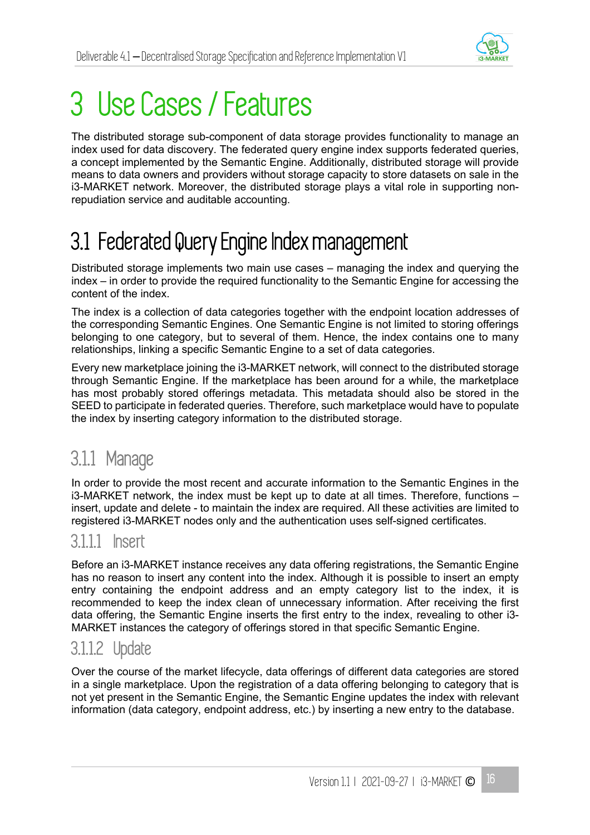

## 3 Use Cases / Features

The distributed storage sub-component of data storage provides functionality to manage an index used for data discovery. The federated query engine index supports federated queries, a concept implemented by the Semantic Engine. Additionally, distributed storage will provide means to data owners and providers without storage capacity to store datasets on sale in the i3-MARKET network. Moreover, the distributed storage plays a vital role in supporting nonrepudiation service and auditable accounting.

## 3.1 Federated Query Engine Index management

Distributed storage implements two main use cases – managing the index and querying the index – in order to provide the required functionality to the Semantic Engine for accessing the content of the index.

The index is a collection of data categories together with the endpoint location addresses of the corresponding Semantic Engines. One Semantic Engine is not limited to storing offerings belonging to one category, but to several of them. Hence, the index contains one to many relationships, linking a specific Semantic Engine to a set of data categories.

Every new marketplace joining the i3-MARKET network, will connect to the distributed storage through Semantic Engine. If the marketplace has been around for a while, the marketplace has most probably stored offerings metadata. This metadata should also be stored in the SEED to participate in federated queries. Therefore, such marketplace would have to populate the index by inserting category information to the distributed storage.

### 3.1.1 Manage

In order to provide the most recent and accurate information to the Semantic Engines in the i3-MARKET network, the index must be kept up to date at all times. Therefore, functions – insert, update and delete - to maintain the index are required. All these activities are limited to registered i3-MARKET nodes only and the authentication uses self-signed certificates.

#### 3.1.1.1 Insert

Before an i3-MARKET instance receives any data offering registrations, the Semantic Engine has no reason to insert any content into the index. Although it is possible to insert an empty entry containing the endpoint address and an empty category list to the index, it is recommended to keep the index clean of unnecessary information. After receiving the first data offering, the Semantic Engine inserts the first entry to the index, revealing to other i3- MARKET instances the category of offerings stored in that specific Semantic Engine.

#### 3.1.1.2 Update

Over the course of the market lifecycle, data offerings of different data categories are stored in a single marketplace. Upon the registration of a data offering belonging to category that is not yet present in the Semantic Engine, the Semantic Engine updates the index with relevant information (data category, endpoint address, etc.) by inserting a new entry to the database.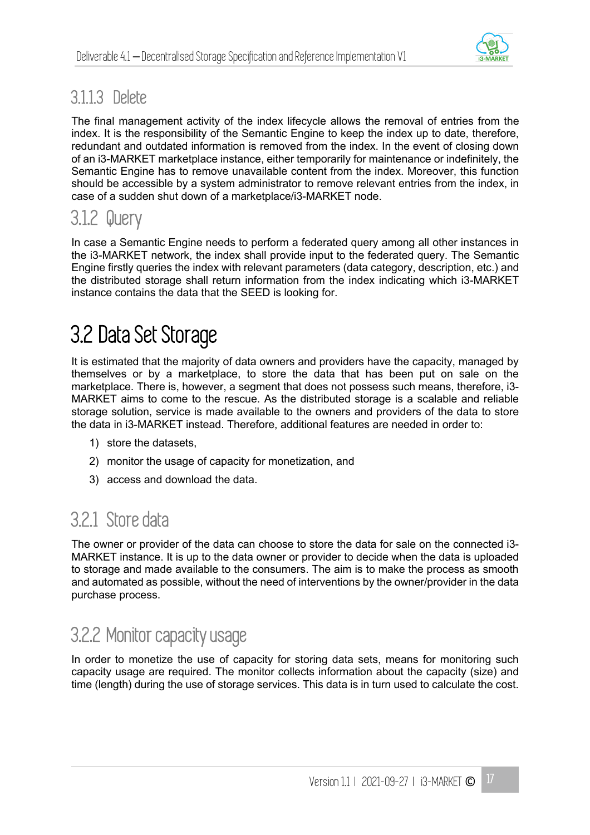

#### 3.1.1.3 Delete

The final management activity of the index lifecycle allows the removal of entries from the index. It is the responsibility of the Semantic Engine to keep the index up to date, therefore, redundant and outdated information is removed from the index. In the event of closing down of an i3-MARKET marketplace instance, either temporarily for maintenance or indefinitely, the Semantic Engine has to remove unavailable content from the index. Moreover, this function should be accessible by a system administrator to remove relevant entries from the index, in case of a sudden shut down of a marketplace/i3-MARKET node.

#### 3.1.2 Query

In case a Semantic Engine needs to perform a federated query among all other instances in the i3-MARKET network, the index shall provide input to the federated query. The Semantic Engine firstly queries the index with relevant parameters (data category, description, etc.) and the distributed storage shall return information from the index indicating which i3-MARKET instance contains the data that the SEED is looking for.

### 3.2 Data Set Storage

It is estimated that the majority of data owners and providers have the capacity, managed by themselves or by a marketplace, to store the data that has been put on sale on the marketplace. There is, however, a segment that does not possess such means, therefore, i3- MARKET aims to come to the rescue. As the distributed storage is a scalable and reliable storage solution, service is made available to the owners and providers of the data to store the data in i3-MARKET instead. Therefore, additional features are needed in order to:

- 1) store the datasets,
- 2) monitor the usage of capacity for monetization, and
- 3) access and download the data.

### 3.2.1 Store data

The owner or provider of the data can choose to store the data for sale on the connected i3- MARKET instance. It is up to the data owner or provider to decide when the data is uploaded to storage and made available to the consumers. The aim is to make the process as smooth and automated as possible, without the need of interventions by the owner/provider in the data purchase process.

### 3.2.2 Monitor capacity usage

In order to monetize the use of capacity for storing data sets, means for monitoring such capacity usage are required. The monitor collects information about the capacity (size) and time (length) during the use of storage services. This data is in turn used to calculate the cost.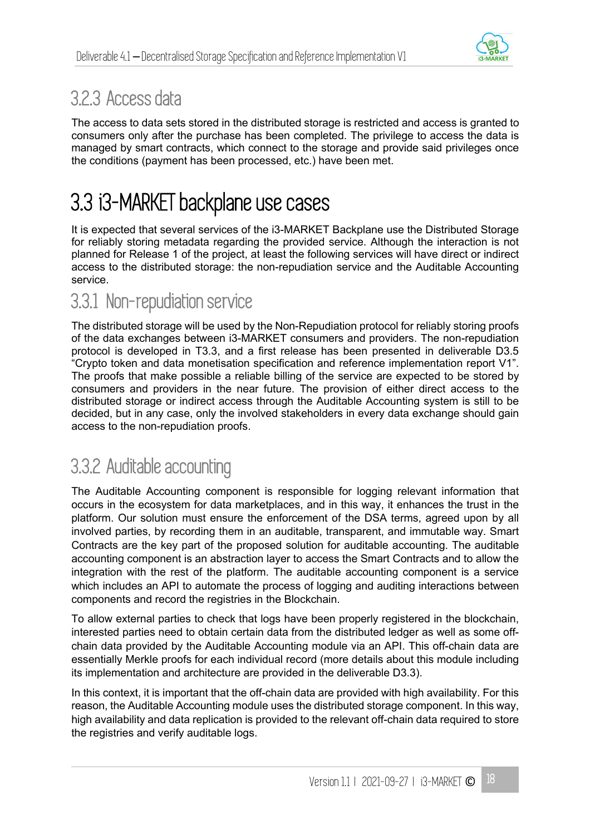

### 3.2.3 Access data

The access to data sets stored in the distributed storage is restricted and access is granted to consumers only after the purchase has been completed. The privilege to access the data is managed by smart contracts, which connect to the storage and provide said privileges once the conditions (payment has been processed, etc.) have been met.

### 3.3 i3-MARKET backplane use cases

It is expected that several services of the i3-MARKET Backplane use the Distributed Storage for reliably storing metadata regarding the provided service. Although the interaction is not planned for Release 1 of the project, at least the following services will have direct or indirect access to the distributed storage: the non-repudiation service and the Auditable Accounting service.

#### 3.3.1 Non-repudiation service

The distributed storage will be used by the Non-Repudiation protocol for reliably storing proofs of the data exchanges between i3-MARKET consumers and providers. The non-repudiation protocol is developed in T3.3, and a first release has been presented in deliverable D3.5 "Crypto token and data monetisation specification and reference implementation report V1". The proofs that make possible a reliable billing of the service are expected to be stored by consumers and providers in the near future. The provision of either direct access to the distributed storage or indirect access through the Auditable Accounting system is still to be decided, but in any case, only the involved stakeholders in every data exchange should gain access to the non-repudiation proofs.

#### 3.3.2 Auditable accounting

The Auditable Accounting component is responsible for logging relevant information that occurs in the ecosystem for data marketplaces, and in this way, it enhances the trust in the platform. Our solution must ensure the enforcement of the DSA terms, agreed upon by all involved parties, by recording them in an auditable, transparent, and immutable way. Smart Contracts are the key part of the proposed solution for auditable accounting. The auditable accounting component is an abstraction layer to access the Smart Contracts and to allow the integration with the rest of the platform. The auditable accounting component is a service which includes an API to automate the process of logging and auditing interactions between components and record the registries in the Blockchain.

To allow external parties to check that logs have been properly registered in the blockchain, interested parties need to obtain certain data from the distributed ledger as well as some offchain data provided by the Auditable Accounting module via an API. This off-chain data are essentially Merkle proofs for each individual record (more details about this module including its implementation and architecture are provided in the deliverable D3.3).

In this context, it is important that the off-chain data are provided with high availability. For this reason, the Auditable Accounting module uses the distributed storage component. In this way, high availability and data replication is provided to the relevant off-chain data required to store the registries and verify auditable logs.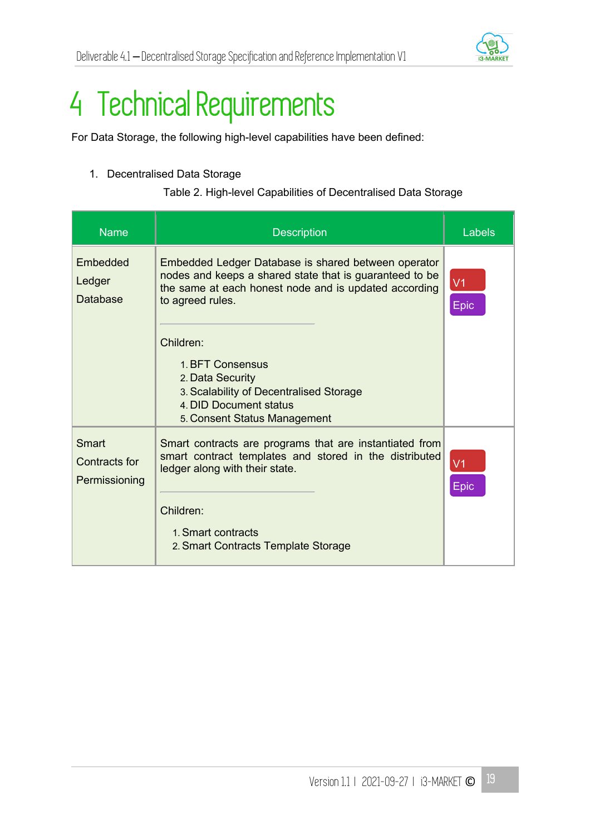

# 4 Technical Requirements

For Data Storage, the following high-level capabilities have been defined:

#### 1. Decentralised Data Storage

Table 2. High-level Capabilities of Decentralised Data Storage

| <b>Name</b>                             | <b>Description</b>                                                                                                                                                                                                            | Labels                 |
|-----------------------------------------|-------------------------------------------------------------------------------------------------------------------------------------------------------------------------------------------------------------------------------|------------------------|
| Embedded<br>Ledger<br>Database          | Embedded Ledger Database is shared between operator<br>nodes and keeps a shared state that is guaranteed to be<br>the same at each honest node and is updated according<br>to agreed rules.                                   | V <sub>1</sub><br>Epic |
|                                         | Children:<br>1. BFT Consensus<br>2. Data Security<br>3. Scalability of Decentralised Storage<br>4. DID Document status<br>5. Consent Status Management                                                                        |                        |
| Smart<br>Contracts for<br>Permissioning | Smart contracts are programs that are instantiated from<br>smart contract templates and stored in the distributed<br>ledger along with their state.<br>Children:<br>1. Smart contracts<br>2. Smart Contracts Template Storage | V <sub>1</sub><br>Epic |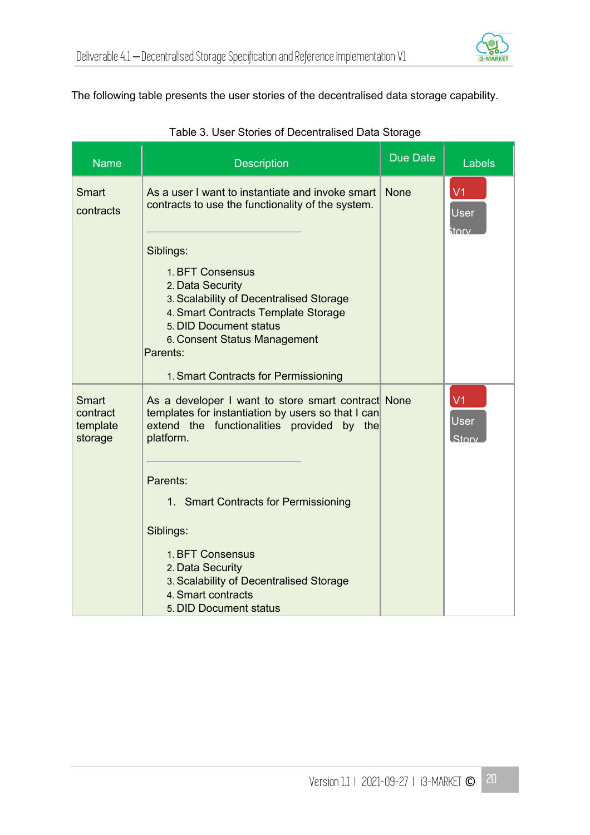

#### The following table presents the user stories of the decentralised data storage capability.

| <b>Name</b>                              | <b>Description</b>                                                                                                                                                                                                                                                                                                                                                                                              | Due Date    | <b>Labels</b>                   |
|------------------------------------------|-----------------------------------------------------------------------------------------------------------------------------------------------------------------------------------------------------------------------------------------------------------------------------------------------------------------------------------------------------------------------------------------------------------------|-------------|---------------------------------|
| Smart<br>contracts                       | As a user I want to instantiate and invoke smart<br>contracts to use the functionality of the system.<br>Siblings:<br>1. BFT Consensus<br>2. Data Security<br>3. Scalability of Decentralised Storage<br>4. Smart Contracts Template Storage<br>5. DID Document status<br>6. Consent Status Management<br>Parents:                                                                                              | <b>None</b> | V <sub>1</sub><br>User<br>storv |
| Smart<br>contract<br>template<br>storage | 1. Smart Contracts for Permissioning<br>As a developer I want to store smart contract None<br>templates for instantiation by users so that I can<br>extend the functionalities provided by the<br>platform.<br>Parents:<br>1. Smart Contracts for Permissioning<br>Siblings:<br>1. BFT Consensus<br>2. Data Security<br>3. Scalability of Decentralised Storage<br>4. Smart contracts<br>5. DID Document status |             | V <sub>1</sub><br>User<br>Story |

#### Table 3. User Stories of Decentralised Data Storage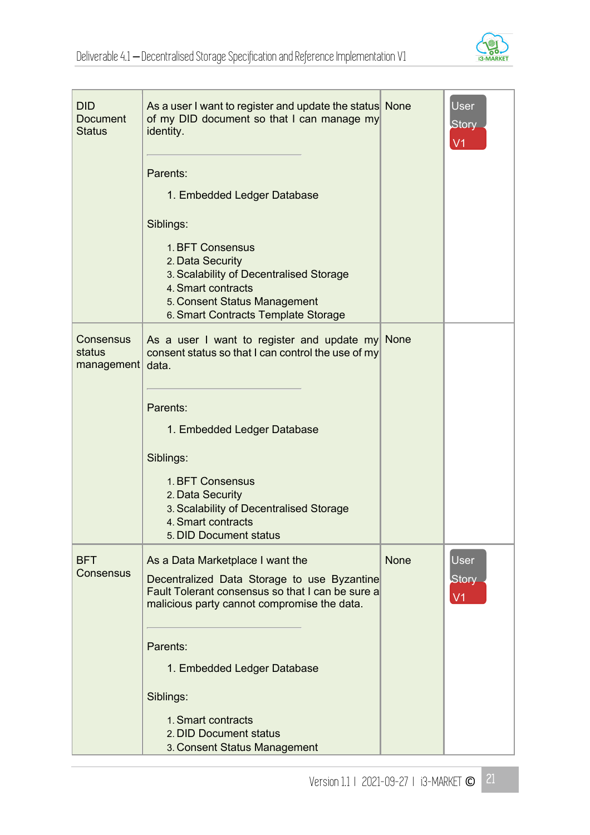

| <b>DID</b><br><b>Document</b><br><b>Status</b> | As a user I want to register and update the status None<br>of my DID document so that I can manage my<br>identity.<br>Parents:<br>1. Embedded Ledger Database<br>Siblings:<br>1. BFT Consensus<br>2. Data Security<br>3. Scalability of Decentralised Storage<br>4. Smart contracts<br>5. Consent Status Management                              |             | User<br><b>Story</b><br>V <sub>1</sub> |
|------------------------------------------------|--------------------------------------------------------------------------------------------------------------------------------------------------------------------------------------------------------------------------------------------------------------------------------------------------------------------------------------------------|-------------|----------------------------------------|
| Consensus<br>status<br>management              | 6. Smart Contracts Template Storage<br>As a user I want to register and update my None<br>consent status so that I can control the use of my<br>data.<br>Parents:<br>1. Embedded Ledger Database<br>Siblings:<br>1. BFT Consensus<br>2. Data Security<br>3. Scalability of Decentralised Storage<br>4. Smart contracts<br>5. DID Document status |             |                                        |
| <b>BFT</b><br>Consensus                        | As a Data Marketplace I want the<br>Decentralized Data Storage to use Byzantine<br>Fault Tolerant consensus so that I can be sure a<br>malicious party cannot compromise the data.<br>Parents:<br>1. Embedded Ledger Database<br>Siblings:<br>1. Smart contracts<br>2. DID Document status<br>3. Consent Status Management                       | <b>None</b> | <b>User</b><br>Story<br>V <sub>1</sub> |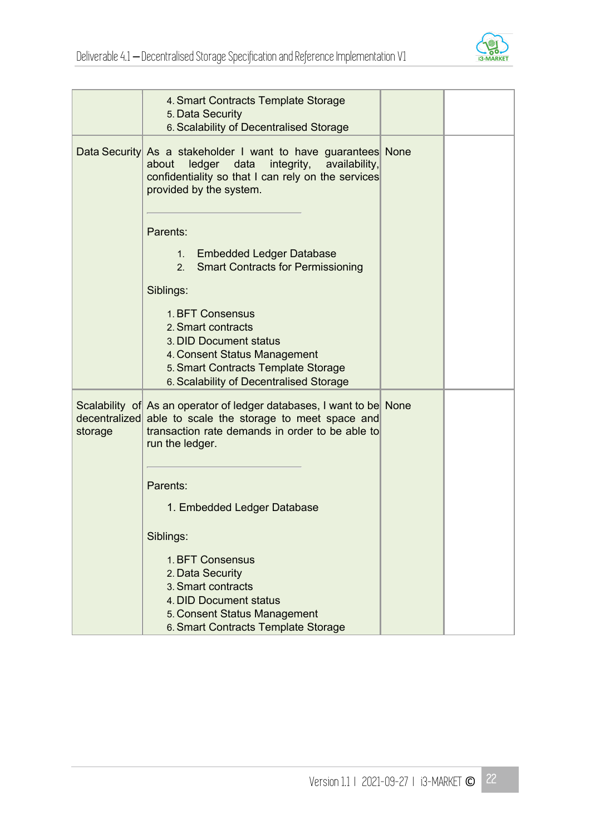

|         | 4. Smart Contracts Template Storage<br>5. Data Security<br>6. Scalability of Decentralised Storage                                                                                                                                                                                                                                                                                                     |  |
|---------|--------------------------------------------------------------------------------------------------------------------------------------------------------------------------------------------------------------------------------------------------------------------------------------------------------------------------------------------------------------------------------------------------------|--|
|         | Data Security As a stakeholder I want to have guarantees None<br>ledger data<br>about<br>integrity, availability,<br>confidentiality so that I can rely on the services<br>provided by the system.<br>Parents:<br>1. Embedded Ledger Database<br>2. Smart Contracts for Permissioning<br>Siblings:<br>1. BFT Consensus<br>2. Smart contracts<br>3. DID Document status<br>4. Consent Status Management |  |
|         | 5. Smart Contracts Template Storage<br>6. Scalability of Decentralised Storage                                                                                                                                                                                                                                                                                                                         |  |
| storage | Scalability of As an operator of ledger databases, I want to be None<br>decentralized able to scale the storage to meet space and<br>transaction rate demands in order to be able to<br>run the ledger.<br>Parents:<br>1. Embedded Ledger Database<br>Siblings:                                                                                                                                        |  |
|         | 1. BFT Consensus<br>2. Data Security<br>3. Smart contracts<br>4. DID Document status<br>5. Consent Status Management<br>6. Smart Contracts Template Storage                                                                                                                                                                                                                                            |  |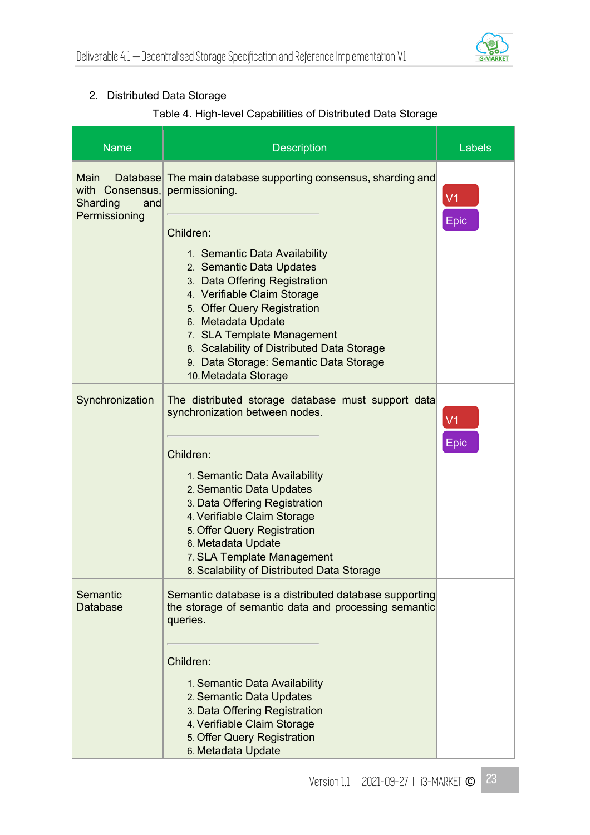#### 2. Distributed Data Storage

#### Table 4. High-level Capabilities of Distributed Data Storage

| <b>Name</b>                                                 | <b>Description</b>                                                                                                                                                                                                                                                      | Labels                 |
|-------------------------------------------------------------|-------------------------------------------------------------------------------------------------------------------------------------------------------------------------------------------------------------------------------------------------------------------------|------------------------|
| Main<br>with Consensus,<br>Sharding<br>and<br>Permissioning | Database The main database supporting consensus, sharding and<br>permissioning.<br>Children:<br>1. Semantic Data Availability<br>2. Semantic Data Updates                                                                                                               | V <sub>1</sub><br>Epic |
|                                                             | 3. Data Offering Registration<br>4. Verifiable Claim Storage<br>5. Offer Query Registration<br>6. Metadata Update<br>7. SLA Template Management<br>8. Scalability of Distributed Data Storage<br>9. Data Storage: Semantic Data Storage<br>10. Metadata Storage         |                        |
| Synchronization                                             | The distributed storage database must support data<br>synchronization between nodes.                                                                                                                                                                                    | V <sub>1</sub><br>Epic |
|                                                             | Children:<br>1. Semantic Data Availability<br>2. Semantic Data Updates<br>3. Data Offering Registration<br>4. Verifiable Claim Storage<br>5. Offer Query Registration<br>6. Metadata Update<br>7. SLA Template Management<br>8. Scalability of Distributed Data Storage |                        |
| Semantic<br><b>Database</b>                                 | Semantic database is a distributed database supporting<br>the storage of semantic data and processing semantic<br>queries.                                                                                                                                              |                        |
|                                                             | Children:<br>1. Semantic Data Availability<br>2. Semantic Data Updates<br>3. Data Offering Registration<br>4. Verifiable Claim Storage<br>5. Offer Query Registration<br>6. Metadata Update                                                                             |                        |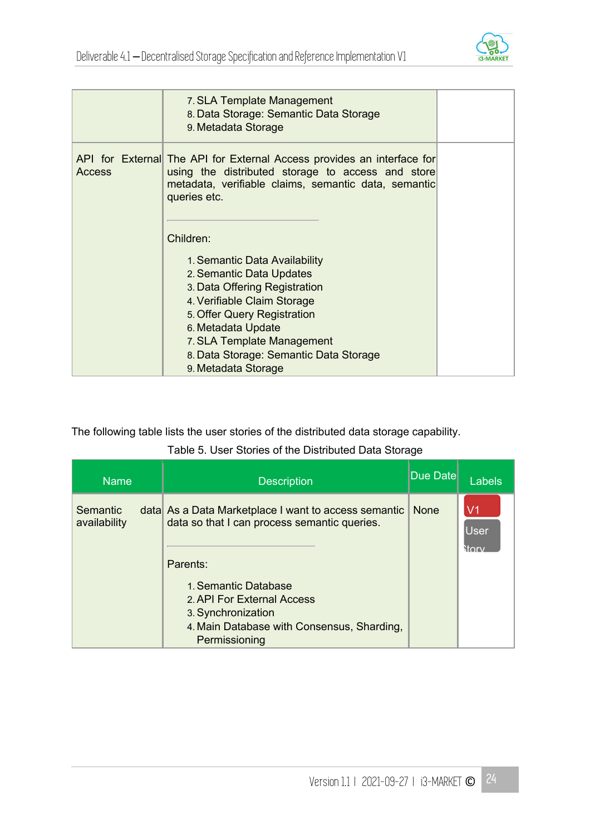

|               | 7. SLA Template Management<br>8. Data Storage: Semantic Data Storage<br>9. Metadata Storage                                                                                                                                                                                   |  |
|---------------|-------------------------------------------------------------------------------------------------------------------------------------------------------------------------------------------------------------------------------------------------------------------------------|--|
| <b>Access</b> | API for External The API for External Access provides an interface for<br>using the distributed storage to access and store<br>metadata, verifiable claims, semantic data, semantic<br>queries etc.                                                                           |  |
|               | Children:                                                                                                                                                                                                                                                                     |  |
|               | 1. Semantic Data Availability<br>2. Semantic Data Updates<br>3. Data Offering Registration<br>4. Verifiable Claim Storage<br>5. Offer Query Registration<br>6. Metadata Update<br>7. SLA Template Management<br>8. Data Storage: Semantic Data Storage<br>9. Metadata Storage |  |

The following table lists the user stories of the distributed data storage capability.

#### Table 5. User Stories of the Distributed Data Storage

| <b>Name</b>              | <b>Description</b>                                                                                                                                                                                                                         | Due Date    | Labels            |
|--------------------------|--------------------------------------------------------------------------------------------------------------------------------------------------------------------------------------------------------------------------------------------|-------------|-------------------|
| Semantic<br>availability | data As a Data Marketplace I want to access semantic<br>data so that I can process semantic queries.<br>Parents:<br>1. Semantic Database<br>2. API For External Access<br>3. Synchronization<br>4. Main Database with Consensus, Sharding, | <b>None</b> | V1<br><b>User</b> |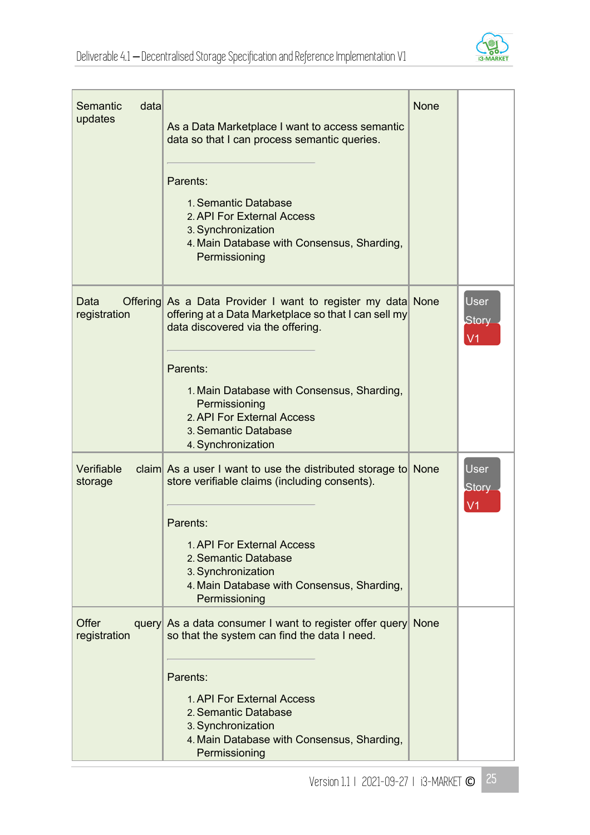

| data<br>Semantic<br>updates | As a Data Marketplace I want to access semantic<br>data so that I can process semantic queries.                                                          | <b>None</b> |                                 |
|-----------------------------|----------------------------------------------------------------------------------------------------------------------------------------------------------|-------------|---------------------------------|
|                             | Parents:<br>1. Semantic Database<br>2. API For External Access<br>3. Synchronization<br>4. Main Database with Consensus, Sharding,<br>Permissioning      |             |                                 |
| Data<br>registration        | Offering As a Data Provider I want to register my data None<br>offering at a Data Marketplace so that I can sell my<br>data discovered via the offering. |             | User<br>Story<br>V <sub>1</sub> |
|                             | Parents:<br>1. Main Database with Consensus, Sharding,<br>Permissioning<br>2. API For External Access<br>3. Semantic Database<br>4. Synchronization      |             |                                 |
| Verifiable<br>storage       | claim As a user I want to use the distributed storage to None<br>store verifiable claims (including consents).                                           |             | <b>User</b><br><b>Story</b>     |
|                             | Parents:<br>1. API For External Access<br>2. Semantic Database<br>3. Synchronization<br>4. Main Database with Consensus, Sharding,<br>Permissioning      |             |                                 |
| Offer<br>registration       | query As a data consumer I want to register offer query None<br>so that the system can find the data I need.                                             |             |                                 |
|                             | Parents:<br>1. API For External Access<br>2. Semantic Database<br>3. Synchronization<br>4. Main Database with Consensus, Sharding,<br>Permissioning      |             |                                 |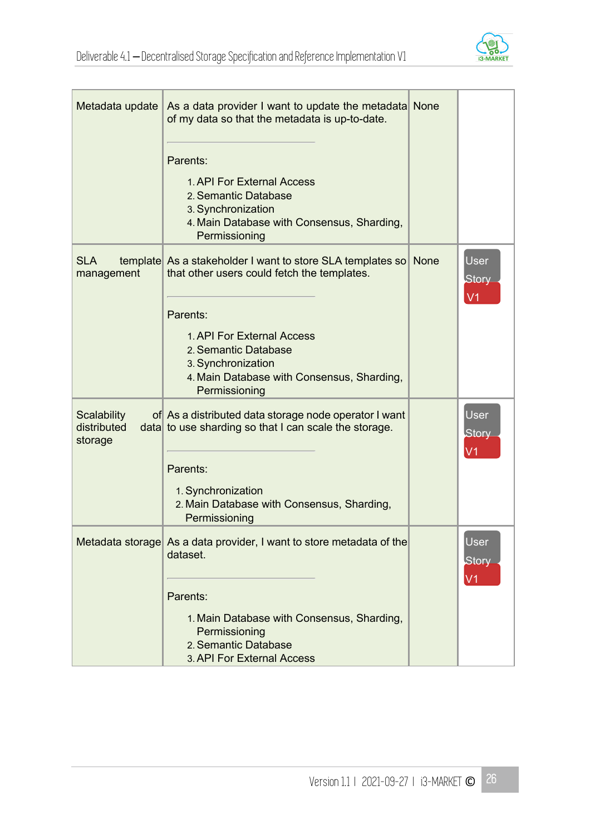

| Metadata update                              | As a data provider I want to update the metadata None<br>of my data so that the metadata is up-to-date.                                 |             |                                               |
|----------------------------------------------|-----------------------------------------------------------------------------------------------------------------------------------------|-------------|-----------------------------------------------|
|                                              | Parents:                                                                                                                                |             |                                               |
|                                              | 1. API For External Access<br>2. Semantic Database<br>3. Synchronization<br>4. Main Database with Consensus, Sharding,<br>Permissioning |             |                                               |
| <b>SLA</b><br>management                     | template As a stakeholder I want to store SLA templates so<br>that other users could fetch the templates.                               | <b>None</b> | <b>User</b><br><b>Story</b><br>V <sub>1</sub> |
|                                              | Parents:                                                                                                                                |             |                                               |
|                                              | 1. API For External Access<br>2. Semantic Database<br>3. Synchronization<br>4. Main Database with Consensus, Sharding,<br>Permissioning |             |                                               |
| <b>Scalability</b><br>distributed<br>storage | of As a distributed data storage node operator I want<br>data to use sharding so that I can scale the storage.                          |             | User<br><b>Story</b><br>V <sub>1</sub>        |
|                                              | Parents:                                                                                                                                |             |                                               |
|                                              | 1. Synchronization<br>2. Main Database with Consensus, Sharding,<br>Permissioning                                                       |             |                                               |
|                                              | Metadata storage As a data provider, I want to store metadata of the<br>dataset.                                                        |             | <b>User</b><br><b>Story</b><br>V <sub>1</sub> |
|                                              | Parents:                                                                                                                                |             |                                               |
|                                              | 1. Main Database with Consensus, Sharding,<br>Permissioning<br>2. Semantic Database<br>3. API For External Access                       |             |                                               |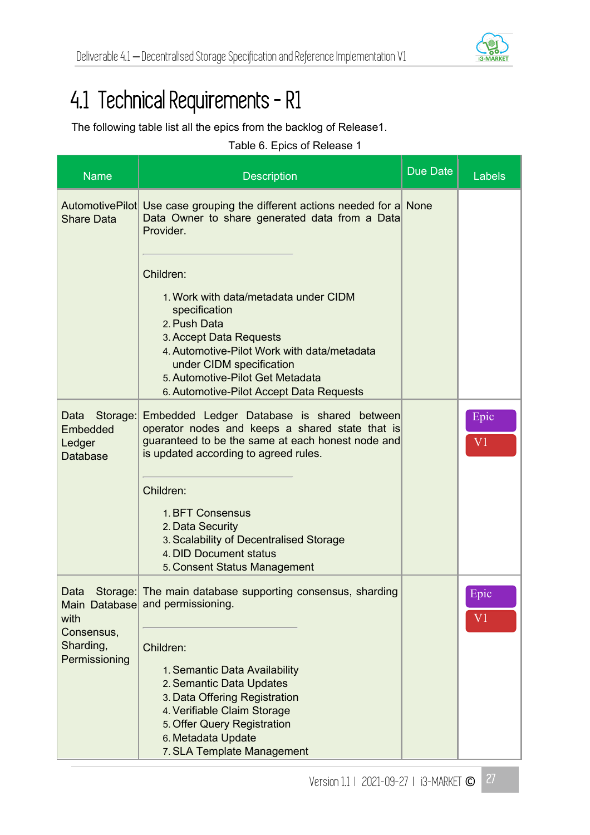

## 4.1 Technical Requirements - R1

The following table list all the epics from the backlog of Release1.

|  | Table 6. Epics of Release 1 |  |
|--|-----------------------------|--|
|--|-----------------------------|--|

| <b>Name</b>                                               | <b>Description</b>                                                                                                                                                                                                                                                        | Due Date | <b>Labels</b>          |
|-----------------------------------------------------------|---------------------------------------------------------------------------------------------------------------------------------------------------------------------------------------------------------------------------------------------------------------------------|----------|------------------------|
| <b>Share Data</b>                                         | AutomotivePilot Use case grouping the different actions needed for a None<br>Data Owner to share generated data from a Data<br>Provider.                                                                                                                                  |          |                        |
|                                                           | Children:<br>1. Work with data/metadata under CIDM<br>specification<br>2. Push Data<br>3. Accept Data Requests<br>4. Automotive-Pilot Work with data/metadata<br>under CIDM specification<br>5. Automotive-Pilot Get Metadata<br>6. Automotive-Pilot Accept Data Requests |          |                        |
| Data<br>Storage:<br>Embedded<br>Ledger<br><b>Database</b> | Embedded Ledger Database is shared between<br>operator nodes and keeps a shared state that is<br>guaranteed to be the same at each honest node and<br>is updated according to agreed rules.<br>Children:<br>1. BFT Consensus<br>2. Data Security                          |          | Epic<br>V <sub>1</sub> |
|                                                           | 3. Scalability of Decentralised Storage<br>4. DID Document status<br>5. Consent Status Management                                                                                                                                                                         |          |                        |
| Data<br>with<br>Consensus,<br>Sharding,                   | Storage: The main database supporting consensus, sharding<br>Main Database and permissioning.<br>Children:                                                                                                                                                                |          | Epic<br>$\rm V1$       |
| Permissioning                                             | 1. Semantic Data Availability<br>2. Semantic Data Updates<br>3. Data Offering Registration<br>4. Verifiable Claim Storage<br>5. Offer Query Registration<br>6. Metadata Update<br>7. SLA Template Management                                                              |          |                        |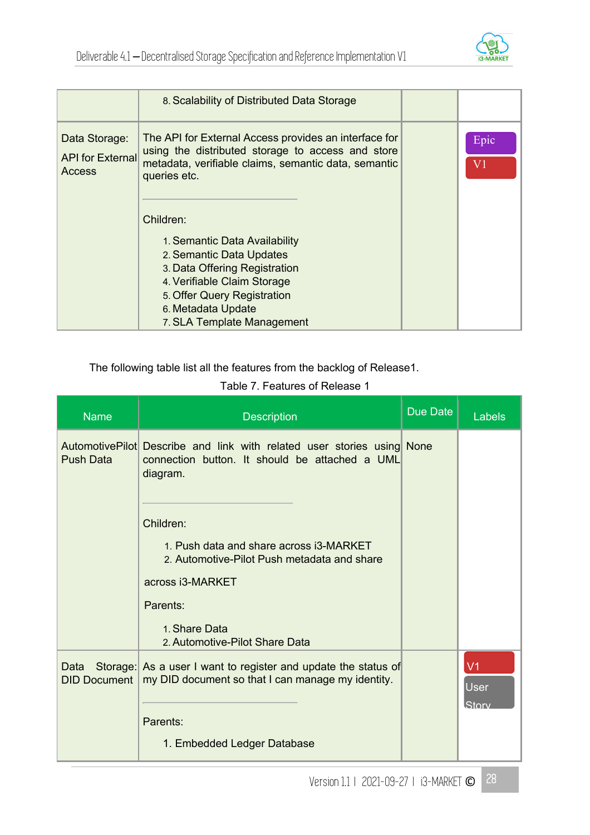

|                                                           | 8. Scalability of Distributed Data Storage                                                                                                                                                                                                                                                                                                                                        |                        |
|-----------------------------------------------------------|-----------------------------------------------------------------------------------------------------------------------------------------------------------------------------------------------------------------------------------------------------------------------------------------------------------------------------------------------------------------------------------|------------------------|
| Data Storage:<br><b>API</b> for External<br><b>Access</b> | The API for External Access provides an interface for<br>using the distributed storage to access and store<br>metadata, verifiable claims, semantic data, semantic<br>queries etc.<br>Children:<br>1. Semantic Data Availability<br>2. Semantic Data Updates<br>3. Data Offering Registration<br>4. Verifiable Claim Storage<br>5. Offer Query Registration<br>6. Metadata Update | Epic<br>V <sub>1</sub> |
|                                                           | 7. SLA Template Management                                                                                                                                                                                                                                                                                                                                                        |                        |

The following table list all the features from the backlog of Release1.

Table 7. Features of Release 1

| <b>Name</b>                 | <b>Description</b>                                                                                                                                                                                                                                                                            | <b>Due Date</b> | Labels                          |
|-----------------------------|-----------------------------------------------------------------------------------------------------------------------------------------------------------------------------------------------------------------------------------------------------------------------------------------------|-----------------|---------------------------------|
| <b>Push Data</b>            | Automotive Pilot Describe and link with related user stories using None<br>connection button. It should be attached a UML<br>diagram.<br>Children:<br>1. Push data and share across i3-MARKET<br>2. Automotive-Pilot Push metadata and share<br>across i3-MARKET<br>Parents:<br>1. Share Data |                 |                                 |
|                             | 2. Automotive-Pilot Share Data                                                                                                                                                                                                                                                                |                 |                                 |
| Data<br><b>DID Document</b> | Storage: As a user I want to register and update the status of<br>my DID document so that I can manage my identity.                                                                                                                                                                           |                 | V <sub>1</sub><br>User<br>Story |
|                             | Parents:                                                                                                                                                                                                                                                                                      |                 |                                 |
|                             | 1. Embedded Ledger Database                                                                                                                                                                                                                                                                   |                 |                                 |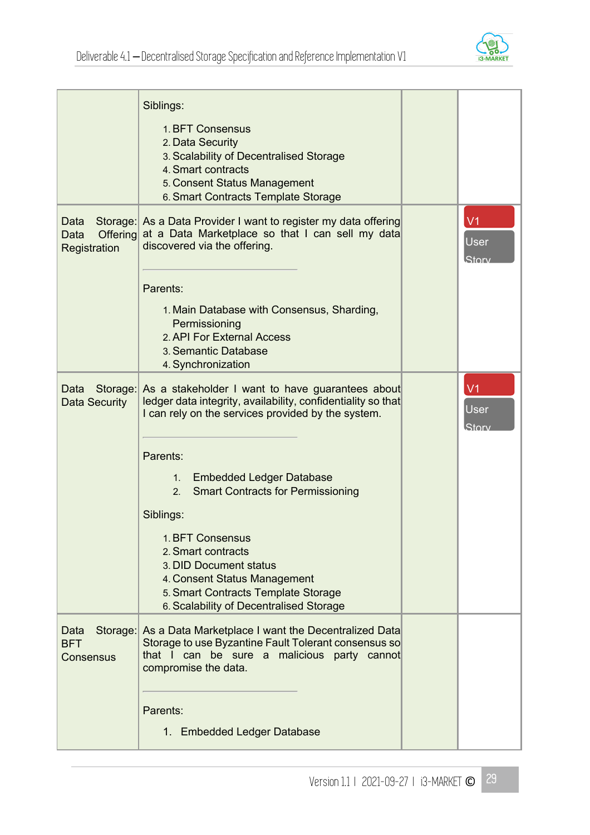

|                                                 | Siblings:<br>1. BFT Consensus<br>2. Data Security<br>3. Scalability of Decentralised Storage<br>4. Smart contracts<br>5. Consent Status Management<br>6. Smart Contracts Template Storage   |                                        |
|-------------------------------------------------|---------------------------------------------------------------------------------------------------------------------------------------------------------------------------------------------|----------------------------------------|
| Data<br><b>Offering</b><br>Data<br>Registration | Storage: As a Data Provider I want to register my data offering<br>at a Data Marketplace so that I can sell my data<br>discovered via the offering.                                         | V <sub>1</sub><br><b>User</b><br>Story |
|                                                 | Parents:                                                                                                                                                                                    |                                        |
|                                                 | 1. Main Database with Consensus, Sharding,<br>Permissioning<br>2. API For External Access<br>3. Semantic Database<br>4. Synchronization                                                     |                                        |
| Data<br>Storage:<br><b>Data Security</b>        | As a stakeholder I want to have guarantees about<br>ledger data integrity, availability, confidentiality so that<br>I can rely on the services provided by the system.                      | V <sub>1</sub><br><b>User</b><br>Storv |
|                                                 | Parents:<br>1. Embedded Ledger Database<br>2. Smart Contracts for Permissioning                                                                                                             |                                        |
|                                                 | Siblings:                                                                                                                                                                                   |                                        |
|                                                 | 1. BFT Consensus<br>2. Smart contracts<br>3. DID Document status<br>4. Consent Status Management<br>5. Smart Contracts Template Storage<br>6. Scalability of Decentralised Storage          |                                        |
| Data<br><b>BFT</b><br><b>Consensus</b>          | Storage: As a Data Marketplace I want the Decentralized Data<br>Storage to use Byzantine Fault Tolerant consensus so<br>that I can be sure a malicious party cannot<br>compromise the data. |                                        |
|                                                 | Parents:                                                                                                                                                                                    |                                        |
|                                                 | 1. Embedded Ledger Database                                                                                                                                                                 |                                        |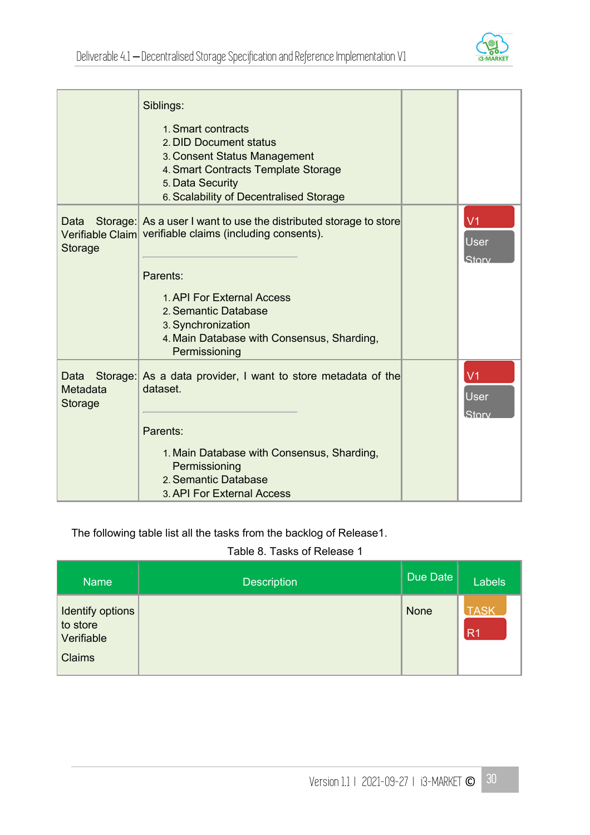

|                                         | Siblings:                                                                                                                                                                          |                                        |
|-----------------------------------------|------------------------------------------------------------------------------------------------------------------------------------------------------------------------------------|----------------------------------------|
|                                         | 1. Smart contracts<br>2. DID Document status<br>3. Consent Status Management<br>4. Smart Contracts Template Storage<br>5. Data Security<br>6. Scalability of Decentralised Storage |                                        |
| Data<br>Verifiable Claim<br>Storage     | Storage: As a user I want to use the distributed storage to store<br>verifiable claims (including consents).                                                                       | V <sub>1</sub><br><b>User</b><br>Story |
|                                         | Parents:                                                                                                                                                                           |                                        |
|                                         | 1. API For External Access<br>2. Semantic Database<br>3. Synchronization<br>4. Main Database with Consensus, Sharding,<br>Permissioning                                            |                                        |
| Storage:<br>Data<br>Metadata<br>Storage | As a data provider, I want to store metadata of the<br>dataset.                                                                                                                    | V <sub>1</sub><br>User<br>.Storv       |
|                                         | Parents:                                                                                                                                                                           |                                        |
|                                         | 1. Main Database with Consensus, Sharding,<br>Permissioning<br>2. Semantic Database<br>3. API For External Access                                                                  |                                        |

The following table list all the tasks from the backlog of Release1.

#### Table 8. Tasks of Release 1

| <b>Name</b>                                                 | <b>Description</b> | Due Date | <b>Labels</b>                 |
|-------------------------------------------------------------|--------------------|----------|-------------------------------|
| Identify options<br>to store<br>Verifiable<br><b>Claims</b> |                    | None     | <b>TASK</b><br>R <sub>1</sub> |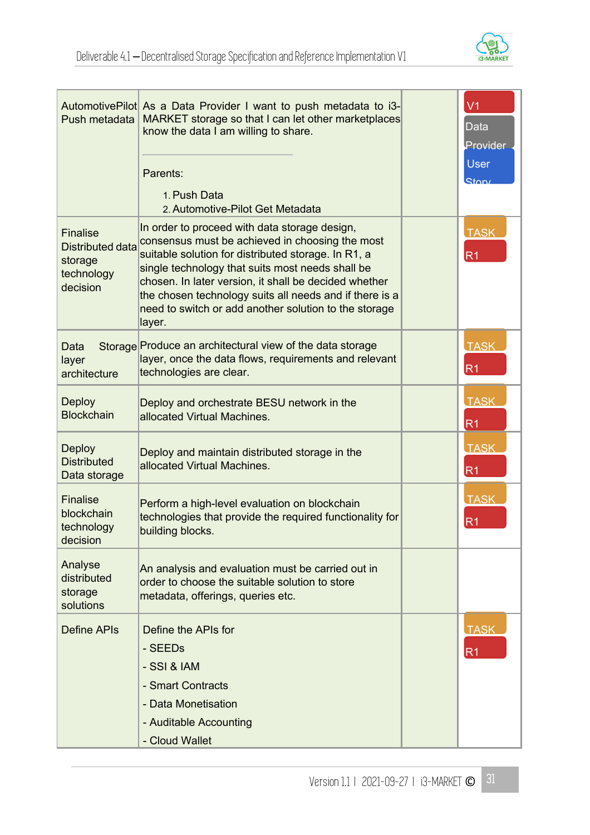

| Push metadata                                                                   | AutomotivePilot As a Data Provider I want to push metadata to i3-<br>MARKET storage so that I can let other marketplaces<br>know the data I am willing to share.<br>Parents:<br>1. Push Data<br>2. Automotive-Pilot Get Metadata                                                                                                                                                                   | V <sub>1</sub><br><b>Data</b><br>Provider<br><b>User</b><br>Story |
|---------------------------------------------------------------------------------|----------------------------------------------------------------------------------------------------------------------------------------------------------------------------------------------------------------------------------------------------------------------------------------------------------------------------------------------------------------------------------------------------|-------------------------------------------------------------------|
| <b>Finalise</b><br><b>Distributed data</b><br>storage<br>technology<br>decision | In order to proceed with data storage design,<br>consensus must be achieved in choosing the most<br>suitable solution for distributed storage. In R1, a<br>single technology that suits most needs shall be<br>chosen. In later version, it shall be decided whether<br>the chosen technology suits all needs and if there is a<br>need to switch or add another solution to the storage<br>layer. | <b>TASK</b><br>R <sub>1</sub>                                     |
| Data<br>layer<br>architecture                                                   | Storage Produce an architectural view of the data storage<br>layer, once the data flows, requirements and relevant<br>technologies are clear.                                                                                                                                                                                                                                                      | <b>TASK</b><br>R <sub>1</sub>                                     |
| <b>Deploy</b><br><b>Blockchain</b>                                              | Deploy and orchestrate BESU network in the<br>allocated Virtual Machines.                                                                                                                                                                                                                                                                                                                          | <b>TASK</b><br>R <sub>1</sub>                                     |
| <b>Deploy</b><br><b>Distributed</b><br>Data storage                             | Deploy and maintain distributed storage in the<br>allocated Virtual Machines.                                                                                                                                                                                                                                                                                                                      | <b>TASK</b><br>R <sub>1</sub>                                     |
| <b>Finalise</b><br>blockchain<br>technology<br>decision                         | Perform a high-level evaluation on blockchain<br>technologies that provide the required functionality for<br>building blocks.                                                                                                                                                                                                                                                                      | <b>TASK</b><br>R <sub>1</sub>                                     |
| Analyse<br>distributed<br>storage<br>solutions                                  | An analysis and evaluation must be carried out in<br>order to choose the suitable solution to store<br>metadata, offerings, queries etc.                                                                                                                                                                                                                                                           |                                                                   |
| <b>Define APIs</b>                                                              | Define the APIs for<br>- SEEDs<br>- SSI & IAM<br>- Smart Contracts<br>- Data Monetisation<br>- Auditable Accounting<br>- Cloud Wallet                                                                                                                                                                                                                                                              | <b>TASK</b><br>R <sub>1</sub>                                     |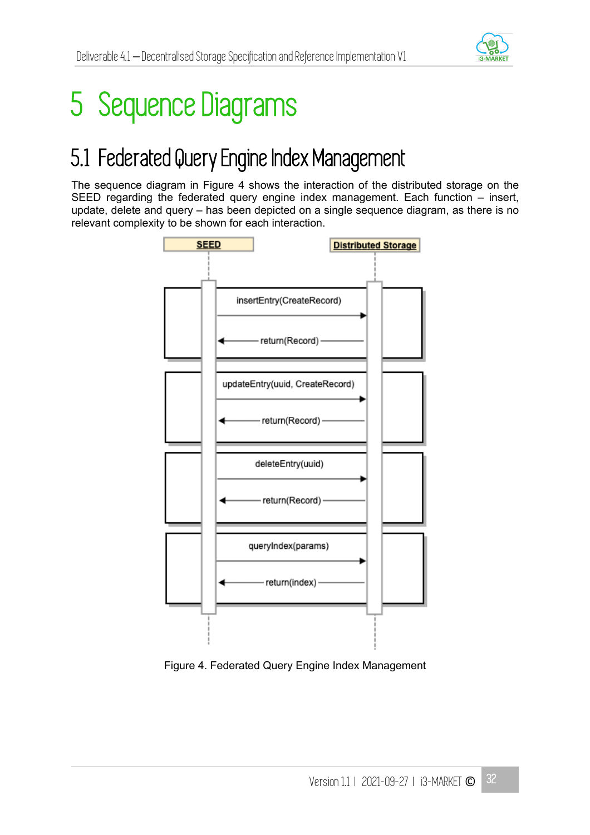

## 5 Sequence Diagrams

## 5.1 Federated Query Engine Index Management

The sequence diagram in Figure 4 shows the interaction of the distributed storage on the SEED regarding the federated query engine index management. Each function – insert, update, delete and query – has been depicted on a single sequence diagram, as there is no relevant complexity to be shown for each interaction.



Figure 4. Federated Query Engine Index Management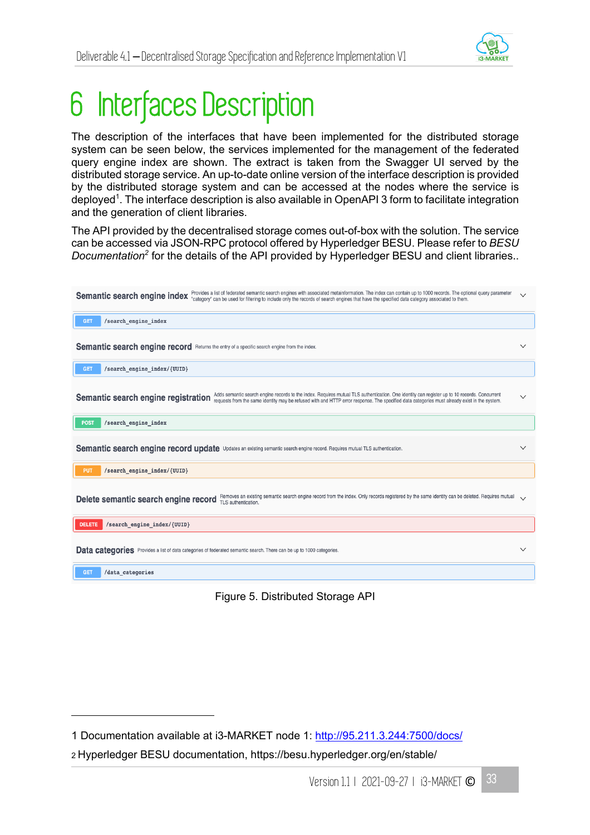

# 6 Interfaces Description

The description of the interfaces that have been implemented for the distributed storage system can be seen below, the services implemented for the management of the federated query engine index are shown. The extract is taken from the Swagger UI served by the distributed storage service. An up-to-date online version of the interface description is provided by the distributed storage system and can be accessed at the nodes where the service is deployed<sup>1</sup>. The interface description is also available in OpenAPI 3 form to facilitate integration and the generation of client libraries.

The API provided by the decentralised storage comes out-of-box with the solution. The service can be accessed via JSON-RPC protocol offered by Hyperledger BESU. Please refer to *BESU Documentation2* for the details of the API provided by Hyperledger BESU and client libraries..

| Provides a list of federated semantic search engines with associated metainformation. The index can contain up to 1000 records. The optional query parameter<br>Semantic search engine index<br>"category" can be used for filtering to include only the records of search engines that have the specified data category associated to them. | $\checkmark$ |  |  |
|----------------------------------------------------------------------------------------------------------------------------------------------------------------------------------------------------------------------------------------------------------------------------------------------------------------------------------------------|--------------|--|--|
| /search_engine_index<br><b>GET</b>                                                                                                                                                                                                                                                                                                           |              |  |  |
| Semantic search engine record Returns the entry of a specific search engine from the index.                                                                                                                                                                                                                                                  | $\checkmark$ |  |  |
| /search engine index/{UUID}<br><b>GET</b>                                                                                                                                                                                                                                                                                                    |              |  |  |
| Adds semantic search engine records to the index. Requires mutual TLS authentication. One identity can register up to 10 records. Concurrent<br>Semantic search engine registration<br>requests from the same identity may be refused with and HTTP error response. The specified data categories must already exist in the system.          | $\checkmark$ |  |  |
| /search engine index<br><b>POST</b>                                                                                                                                                                                                                                                                                                          |              |  |  |
| Semantic search engine record update Updates an existing semantic search engine record. Requires mutual TLS authentication.                                                                                                                                                                                                                  | $\checkmark$ |  |  |
| /search engine index/{UUID}<br><b>PUT</b>                                                                                                                                                                                                                                                                                                    |              |  |  |
| Removes an existing semantic search engine record from the index. Only records registered by the same identity can be deleted. Requires mutual<br>Delete semantic search engine record<br>TLS authentication.                                                                                                                                | $\sqrt{}$    |  |  |
| /search engine index/{UUID}<br><b>DELETE</b>                                                                                                                                                                                                                                                                                                 |              |  |  |
| Data categories Provides a list of data categories of federated semantic search. There can be up to 1000 categories.                                                                                                                                                                                                                         |              |  |  |
| /data categories<br><b>GET</b>                                                                                                                                                                                                                                                                                                               |              |  |  |

Figure 5. Distributed Storage API

<sup>1</sup> Documentation available at i3-MARKET node 1: http://95.211.3.244:7500/docs/

<sup>2</sup> Hyperledger BESU documentation, https://besu.hyperledger.org/en/stable/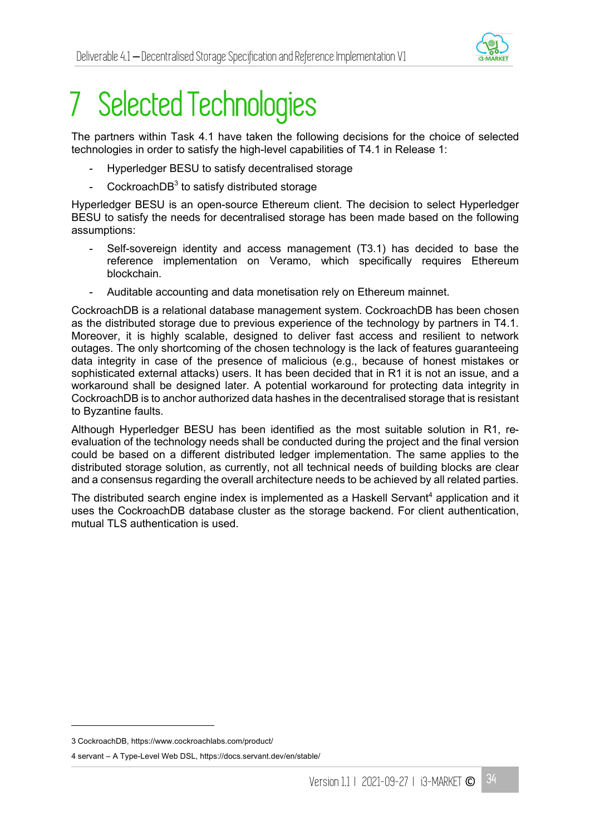

# 7 Selected Technologies

The partners within Task 4.1 have taken the following decisions for the choice of selected technologies in order to satisfy the high-level capabilities of T4.1 in Release 1:

- Hyperledger BESU to satisfy decentralised storage
- CockroachD $B<sup>3</sup>$  to satisfy distributed storage

Hyperledger BESU is an open-source Ethereum client. The decision to select Hyperledger BESU to satisfy the needs for decentralised storage has been made based on the following assumptions:

- Self-sovereign identity and access management (T3.1) has decided to base the reference implementation on Veramo, which specifically requires Ethereum blockchain.
- Auditable accounting and data monetisation rely on Ethereum mainnet.

CockroachDB is a relational database management system. CockroachDB has been chosen as the distributed storage due to previous experience of the technology by partners in T4.1. Moreover, it is highly scalable, designed to deliver fast access and resilient to network outages. The only shortcoming of the chosen technology is the lack of features guaranteeing data integrity in case of the presence of malicious (e.g., because of honest mistakes or sophisticated external attacks) users. It has been decided that in R1 it is not an issue, and a workaround shall be designed later. A potential workaround for protecting data integrity in CockroachDB is to anchor authorized data hashes in the decentralised storage that is resistant to Byzantine faults.

Although Hyperledger BESU has been identified as the most suitable solution in R1, reevaluation of the technology needs shall be conducted during the project and the final version could be based on a different distributed ledger implementation. The same applies to the distributed storage solution, as currently, not all technical needs of building blocks are clear and a consensus regarding the overall architecture needs to be achieved by all related parties.

The distributed search engine index is implemented as a Haskell Servant<sup>4</sup> application and it uses the CockroachDB database cluster as the storage backend. For client authentication, mutual TLS authentication is used.

<sup>3</sup> CockroachDB, https://www.cockroachlabs.com/product/

<sup>4</sup> servant – A Type-Level Web DSL, https://docs.servant.dev/en/stable/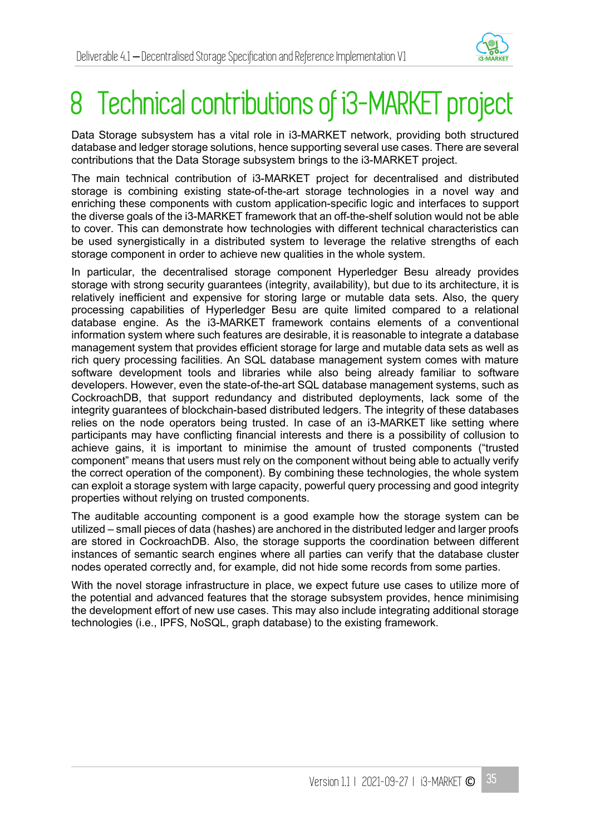

## 8 Technical contributions of i3-MARKET project

Data Storage subsystem has a vital role in i3-MARKET network, providing both structured database and ledger storage solutions, hence supporting several use cases. There are several contributions that the Data Storage subsystem brings to the i3-MARKET project.

The main technical contribution of i3-MARKET project for decentralised and distributed storage is combining existing state-of-the-art storage technologies in a novel way and enriching these components with custom application-specific logic and interfaces to support the diverse goals of the i3-MARKET framework that an off-the-shelf solution would not be able to cover. This can demonstrate how technologies with different technical characteristics can be used synergistically in a distributed system to leverage the relative strengths of each storage component in order to achieve new qualities in the whole system.

In particular, the decentralised storage component Hyperledger Besu already provides storage with strong security guarantees (integrity, availability), but due to its architecture, it is relatively inefficient and expensive for storing large or mutable data sets. Also, the query processing capabilities of Hyperledger Besu are quite limited compared to a relational database engine. As the i3-MARKET framework contains elements of a conventional information system where such features are desirable, it is reasonable to integrate a database management system that provides efficient storage for large and mutable data sets as well as rich query processing facilities. An SQL database management system comes with mature software development tools and libraries while also being already familiar to software developers. However, even the state-of-the-art SQL database management systems, such as CockroachDB, that support redundancy and distributed deployments, lack some of the integrity guarantees of blockchain-based distributed ledgers. The integrity of these databases relies on the node operators being trusted. In case of an i3-MARKET like setting where participants may have conflicting financial interests and there is a possibility of collusion to achieve gains, it is important to minimise the amount of trusted components ("trusted component" means that users must rely on the component without being able to actually verify the correct operation of the component). By combining these technologies, the whole system can exploit a storage system with large capacity, powerful query processing and good integrity properties without relying on trusted components.

The auditable accounting component is a good example how the storage system can be utilized – small pieces of data (hashes) are anchored in the distributed ledger and larger proofs are stored in CockroachDB. Also, the storage supports the coordination between different instances of semantic search engines where all parties can verify that the database cluster nodes operated correctly and, for example, did not hide some records from some parties.

With the novel storage infrastructure in place, we expect future use cases to utilize more of the potential and advanced features that the storage subsystem provides, hence minimising the development effort of new use cases. This may also include integrating additional storage technologies (i.e., IPFS, NoSQL, graph database) to the existing framework.